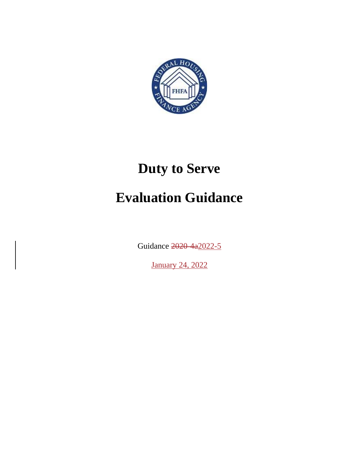

# **Duty to Serve Evaluation Guidance**

Guidance 2020-4a2022-5

January 24, 2022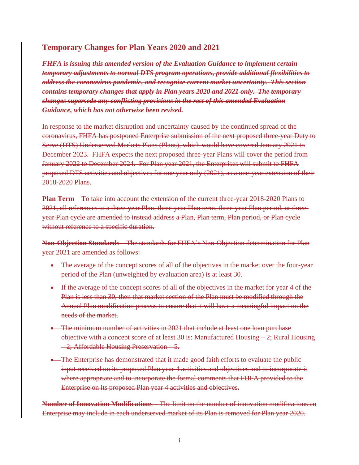#### **Temporary Changes for Plan Years 2020 and 2021**

*FHFA is issuing this amended version of the Evaluation Guidance to implement certain temporary adjustments to normal DTS program operations, provide additional flexibilities to address the coronavirus pandemic, and recognize current market uncertainty. This section contains temporary changes that apply in Plan years 2020 and 2021 only. The temporary changes supersede any conflicting provisions in the rest of this amended Evaluation Guidance, which has not otherwise been revised.*

In response to the market disruption and uncertainty caused by the continued spread of the coronavirus, FHFA has postponed Enterprise submission of the next proposed three-year Duty to Serve (DTS) Underserved Markets Plans (Plans), which would have covered January 2021 to December 2023. FHFA expects the next proposed three-year Plans will cover the period from January 2022 to December 2024. For Plan year 2021, the Enterprises will submit to FHFA proposed DTS activities and objectives for one year only (2021), as a one-year extension of their 2018-2020 Plans.

**Plan Term** – To take into account the extension of the current three-year 2018-2020 Plans to 2021, all references to a three-year Plan, three-year Plan term, three-year Plan period, or threeyear Plan cycle are amended to instead address a Plan, Plan term, Plan period, or Plan cycle without reference to a specific duration.

**Non-Objection Standards** – The standards for FHFA's Non-Objection determination for Plan year 2021 are amended as follows:

- The average of the concept scores of all of the objectives in the market over the four-year period of the Plan (unweighted by evaluation area) is at least 30.
- If the average of the concept scores of all of the objectives in the market for year 4 of the Plan is less than 30, then that market section of the Plan must be modified through the Annual Plan modification process to ensure that it will have a meaningful impact on the needs of the market.
- The minimum number of activities in 2021 that include at least one loan purchase objective with a concept score of at least 30 is: Manufactured Housing – 2; Rural Housing – 2; Affordable Housing Preservation – 5.
- The Enterprise has demonstrated that it made good faith efforts to evaluate the public input received on its proposed Plan year 4 activities and objectives and to incorporate it where appropriate and to incorporate the formal comments that FHFA provided to the Enterprise on its proposed Plan year 4 activities and objectives.

**Number of Innovation Modifications –** The limit on the number of innovation modifications an Enterprise may include in each underserved market of its Plan is removed for Plan year 2020.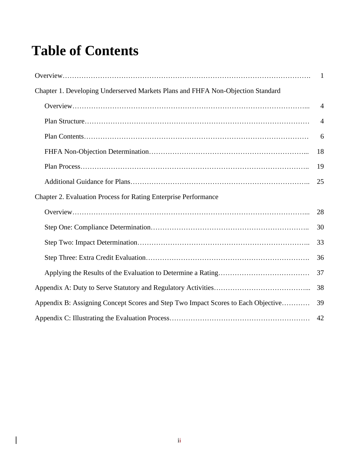## **Table of Contents**

 $\overline{\phantom{a}}$ 

| Chapter 1. Developing Underserved Markets Plans and FHFA Non-Objection Standard   |                |
|-----------------------------------------------------------------------------------|----------------|
|                                                                                   | 4              |
|                                                                                   | $\overline{4}$ |
|                                                                                   | 6              |
|                                                                                   | 18             |
|                                                                                   | 19             |
|                                                                                   | 25             |
| Chapter 2. Evaluation Process for Rating Enterprise Performance                   |                |
|                                                                                   | 28             |
|                                                                                   | 30             |
|                                                                                   | 33             |
|                                                                                   | 36             |
|                                                                                   | 37             |
|                                                                                   | 38             |
| Appendix B: Assigning Concept Scores and Step Two Impact Scores to Each Objective | 39             |
|                                                                                   | 42             |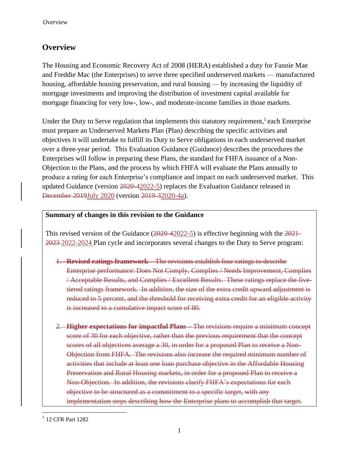## <span id="page-3-0"></span>**Overview**

The Housing and Economic Recovery Act of 2008 (HERA) established a duty for Fannie Mae and Freddie Mac (the Enterprises) to serve three specified underserved markets — manufactured housing, affordable housing preservation, and rural housing — by increasing the liquidity of mortgage investments and improving the distribution of investment capital available for mortgage financing for very low-, low-, and moderate-income families in those markets.

Under the Duty to Serve regulation that implements this statutory requirement,  $l$  each Enterprise must prepare an Underserved Markets Plan (Plan) describing the specific activities and objectives it will undertake to fulfill its Duty to Serve obligations in each underserved market over a three-year period. This Evaluation Guidance (Guidance) describes the procedures the Enterprises will follow in preparing these Plans, the standard for FHFA issuance of a Non-Objection to the Plans, and the process by which FHFA will evaluate the Plans annually to produce a rating for each Enterprise's compliance and impact on each underserved market. This updated Guidance (version 2020-42022-5) replaces the Evaluation Guidance released in December 2019July 2020 (version 2019-32020-4a).

#### **Summary of changes in this revision to the Guidance**

This revised version of the Guidance  $(2020-42022-5)$  is effective beginning with the  $2021-$ 2023 2022-2024 Plan cycle and incorporates several changes to the Duty to Serve program:

- 1. **Revised ratings framework** The revisions establish four ratings to describe Enterprise performance: Does Not Comply, Complies / Needs Improvement, Complies / Acceptable Results, and Complies / Excellent Results. These ratings replace the fivetiered ratings framework. In addition, the size of the extra credit upward adjustment is reduced to 5 percent, and the threshold for receiving extra credit for an eligible activity is increased to a cumulative impact score of 80.
- 2. **Higher expectations for impactful Plans** The revisions require a minimum concept score of 30 for each objective, rather than the previous requirement that the concept scores of all objectives average a 30, in order for a proposed Plan to receive a Non-Objection from FHFA. The revisions also increase the required minimum number of activities that include at least one loan purchase objective in the Affordable Housing Preservation and Rural Housing markets, in order for a proposed Plan to receive a Non-Objection. In addition, the revisions clarify FHFA's expectations for each objective to be structured as a commitment to a specific target, with any implementation steps describing how the Enterprise plans to accomplish that target.

<sup>&</sup>lt;sup>1</sup> 12 CFR Part 1282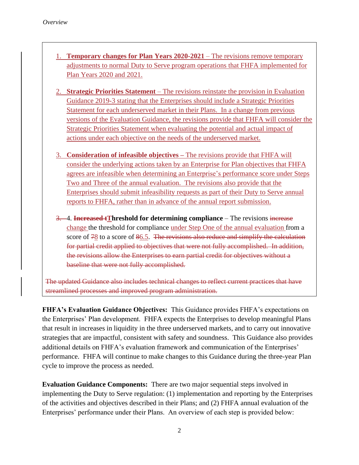- 1. **Temporary changes for Plan Years 2020-2021** The revisions remove temporary adjustments to normal Duty to Serve program operations that FHFA implemented for Plan Years 2020 and 2021.
- 2. **Strategic Priorities Statement**  The revisions reinstate the provision in Evaluation Guidance 2019-3 stating that the Enterprises should include a Strategic Priorities Statement for each underserved market in their Plans. In a change from previous versions of the Evaluation Guidance, the revisions provide that FHFA will consider the Strategic Priorities Statement when evaluating the potential and actual impact of actions under each objective on the needs of the underserved market.
- 3. **Consideration of infeasible objectives –** The revisions provide that FHFA will consider the underlying actions taken by an Enterprise for Plan objectives that FHFA agrees are infeasible when determining an Enterprise's performance score under Steps Two and Three of the annual evaluation. The revisions also provide that the Enterprises should submit infeasibility requests as part of their Duty to Serve annual reports to FHFA, rather than in advance of the annual report submission.
- 3. 4. **Increased tThreshold for determining compliance** The revisions increase change the threshold for compliance under Step One of the annual evaluation from a score of 78 to a score of 86.5. The revisions also reduce and simplify the calculation for partial credit applied to objectives that were not fully accomplished. In addition, the revisions allow the Enterprises to earn partial credit for objectives without a baseline that were not fully accomplished.

The updated Guidance also includes technical changes to reflect current practices that have streamlined processes and improved program administration.

**FHFA's Evaluation Guidance Objectives:** This Guidance provides FHFA's expectations on the Enterprises' Plan development. FHFA expects the Enterprises to develop meaningful Plans that result in increases in liquidity in the three underserved markets, and to carry out innovative strategies that are impactful, consistent with safety and soundness. This Guidance also provides additional details on FHFA's evaluation framework and communication of the Enterprises' performance. FHFA will continue to make changes to this Guidance during the three-year Plan cycle to improve the process as needed.

**Evaluation Guidance Components:** There are two major sequential steps involved in implementing the Duty to Serve regulation: (1) implementation and reporting by the Enterprises of the activities and objectives described in their Plans; and (2) FHFA annual evaluation of the Enterprises' performance under their Plans. An overview of each step is provided below: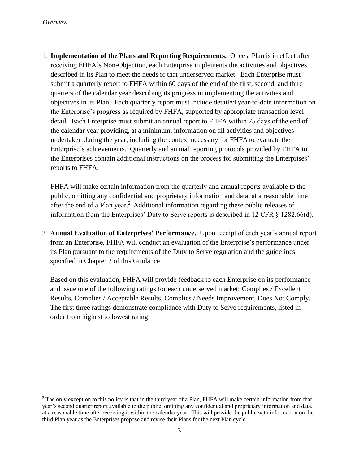1. **Implementation of the Plans and Reporting Requirements.** Once a Plan is in effect after receiving FHFA's Non-Objection, each Enterprise implements the activities and objectives described in its Plan to meet the needs of that underserved market. Each Enterprise must submit a quarterly report to FHFA within 60 days of the end of the first, second, and third quarters of the calendar year describing its progress in implementing the activities and objectives in its Plan. Each quarterly report must include detailed year-to-date information on the Enterprise's progress as required by FHFA, supported by appropriate transaction level detail. Each Enterprise must submit an annual report to FHFA within 75 days of the end of the calendar year providing, at a minimum, information on all activities and objectives undertaken during the year, including the context necessary for FHFA to evaluate the Enterprise's achievements. Quarterly and annual reporting protocols provided by FHFA to the Enterprises contain additional instructions on the process for submitting the Enterprises' reports to FHFA.

FHFA will make certain information from the quarterly and annual reports available to the public, omitting any confidential and proprietary information and data, at a reasonable time after the end of a Plan year.<sup>2</sup> Additional information regarding these public releases of information from the Enterprises' Duty to Serve reports is described in 12 CFR § 1282.66(d).

2. **Annual Evaluation of Enterprises' Performance.** Upon receipt of each year's annual report from an Enterprise, FHFA will conduct an evaluation of the Enterprise's performance under its Plan pursuant to the requirements of the Duty to Serve regulation and the guidelines specified in Chapter 2 of this Guidance.

Based on this evaluation, FHFA will provide feedback to each Enterprise on its performance and issue one of the following ratings for each underserved market: Complies / Excellent Results, Complies / Acceptable Results, Complies / Needs Improvement, Does Not Comply. The first three ratings demonstrate compliance with Duty to Serve requirements, listed in order from highest to lowest rating.

<sup>&</sup>lt;sup>2</sup> The only exception to this policy is that in the third year of a Plan, FHFA will make certain information from that year's second quarter report available to the public, omitting any confidential and proprietary information and data, at a reasonable time after receiving it within the calendar year. This will provide the public with information on the third Plan year as the Enterprises propose and revise their Plans for the next Plan cycle.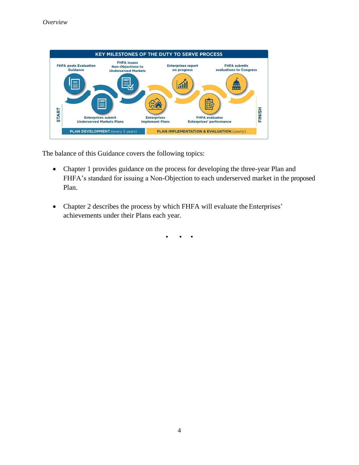

The balance of this Guidance covers the following topics:

- Chapter 1 provides guidance on the process for developing the three-year Plan and FHFA's standard for issuing a Non-Objection to each underserved market in the proposed Plan.
- Chapter 2 describes the process by which FHFA will evaluate the Enterprises' achievements under their Plans each year.

• • •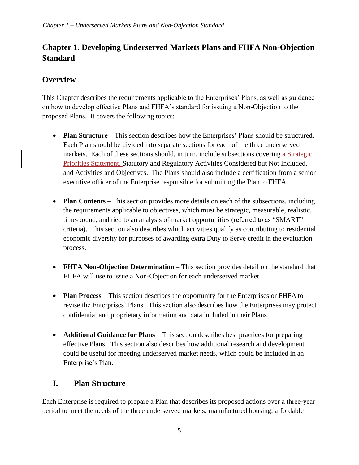## **Chapter 1. Developing Underserved Markets Plans and FHFA Non-Objection Standard**

## <span id="page-7-0"></span>**Overview**

This Chapter describes the requirements applicable to the Enterprises' Plans, as well as guidance on how to develop effective Plans and FHFA's standard for issuing a Non-Objection to the proposed Plans. It covers the following topics:

- **Plan Structure** This section describes how the Enterprises' Plans should be structured. Each Plan should be divided into separate sections for each of the three underserved markets. Each of these sections should, in turn, include subsections covering a Strategic Priorities Statement, Statutory and Regulatory Activities Considered but Not Included, and Activities and Objectives. The Plans should also include a certification from a senior executive officer of the Enterprise responsible for submitting the Plan to FHFA.
- **Plan Contents** This section provides more details on each of the subsections, including the requirements applicable to objectives, which must be strategic, measurable, realistic, time-bound, and tied to an analysis of market opportunities (referred to as "SMART" criteria). This section also describes which activities qualify as contributing to residential economic diversity for purposes of awarding extra Duty to Serve credit in the evaluation process.
- **FHFA Non-Objection Determination** This section provides detail on the standard that FHFA will use to issue a Non-Objection for each underserved market.
- **Plan Process** This section describes the opportunity for the Enterprises or FHFA to revise the Enterprises' Plans. This section also describes how the Enterprises may protect confidential and proprietary information and data included in their Plans
- **Additional Guidance for Plans** This section describes best practices for preparing effective Plans. This section also describes how additional research and development could be useful for meeting underserved market needs, which could be included in an Enterprise's Plan.

## <span id="page-7-1"></span>**I. Plan Structure**

Each Enterprise is required to prepare a Plan that describes its proposed actions over a three-year period to meet the needs of the three underserved markets: manufactured housing, affordable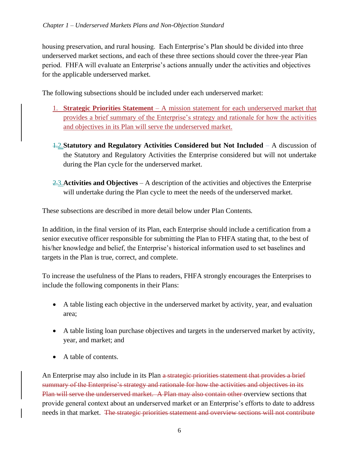housing preservation, and rural housing. Each Enterprise's Plan should be divided into three underserved market sections, and each of these three sections should cover the three-year Plan period. FHFA will evaluate an Enterprise's actions annually under the activities and objectives for the applicable underserved market.

The following subsections should be included under each underserved market:

- 1. **Strategic Priorities Statement**  A mission statement for each underserved market that provides a brief summary of the Enterprise's strategy and rationale for how the activities and objectives in its Plan will serve the underserved market.
- 1.2.**Statutory and Regulatory Activities Considered but Not Included** *–* A discussion of the Statutory and Regulatory Activities the Enterprise considered but will not undertake during the Plan cycle for the underserved market.
- 2.3.**Activities and Objectives**  A description of the activities and objectives the Enterprise will undertake during the Plan cycle to meet the needs of the underserved market.

These subsections are described in more detail below under Plan Contents*.* 

In addition, in the final version of its Plan, each Enterprise should include a certification from a senior executive officer responsible for submitting the Plan to FHFA stating that, to the best of his/her knowledge and belief, the Enterprise's historical information used to set baselines and targets in the Plan is true, correct, and complete.

To increase the usefulness of the Plans to readers, FHFA strongly encourages the Enterprises to include the following components in their Plans:

- A table listing each objective in the underserved market by activity, year, and evaluation area;
- A table listing loan purchase objectives and targets in the underserved market by activity, year, and market; and
- A table of contents.

An Enterprise may also include in its Plan a strategic priorities statement that provides a brief summary of the Enterprise's strategy and rationale for how the activities and objectives in its Plan will serve the underserved market. A Plan may also contain other overview sections that provide general context about an underserved market or an Enterprise's efforts to date to address needs in that market. The strategic priorities statement and overview sections will not contribute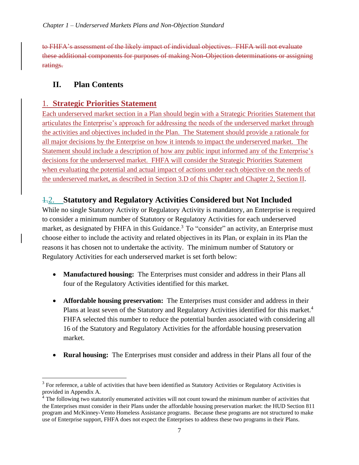to FHFA's assessment of the likely impact of individual objectives. FHFA will not evaluate these additional components for purposes of making Non-Objection determinations or assigning ratings.

## <span id="page-9-0"></span>**II. Plan Contents**

## 1. **Strategic Priorities Statement**

Each underserved market section in a Plan should begin with a Strategic Priorities Statement that articulates the Enterprise's approach for addressing the needs of the underserved market through the activities and objectives included in the Plan. The Statement should provide a rationale for all major decisions by the Enterprise on how it intends to impact the underserved market. The Statement should include a description of how any public input informed any of the Enterprise's decisions for the underserved market. FHFA will consider the Strategic Priorities Statement when evaluating the potential and actual impact of actions under each objective on the needs of the underserved market, as described in Section 3.D of this Chapter and Chapter 2, Section II.

## 1.2. **Statutory and Regulatory Activities Considered but Not Included**

While no single Statutory Activity or Regulatory Activity is mandatory, an Enterprise is required to consider a minimum number of Statutory or Regulatory Activities for each underserved market, as designated by FHFA in this Guidance.<sup>3</sup> To "consider" an activity, an Enterprise must choose either to include the activity and related objectives in its Plan, or explain in its Plan the reasons it has chosen not to undertake the activity. The minimum number of Statutory or Regulatory Activities for each underserved market is set forth below:

- **Manufactured housing:** The Enterprises must consider and address in their Plans all four of the Regulatory Activities identified for this market.
- **Affordable housing preservation:** The Enterprises must consider and address in their Plans at least seven of the Statutory and Regulatory Activities identified for this market.<sup>4</sup> FHFA selected this number to reduce the potential burden associated with considering all 16 of the Statutory and Regulatory Activities for the affordable housing preservation market.
- **Rural housing:** The Enterprises must consider and address in their Plans all four of the

 $3$  For reference, a table of activities that have been identified as Statutory Activities or Regulatory Activities is provided in Appendix A.

<sup>&</sup>lt;sup>4</sup> The following two statutorily enumerated activities will not count toward the minimum number of activities that the Enterprises must consider in their Plans under the affordable housing preservation market: the HUD Section 811 program and McKinney-Vento Homeless Assistance programs. Because these programs are not structured to make use of Enterprise support, FHFA does not expect the Enterprises to address these two programs in their Plans.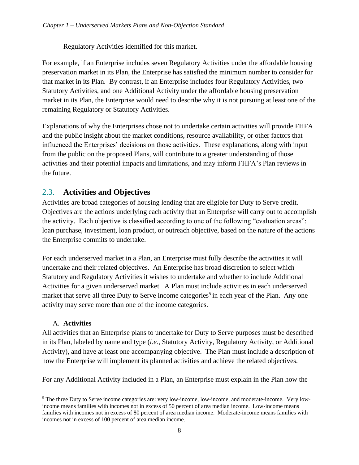Regulatory Activities identified for this market.

For example, if an Enterprise includes seven Regulatory Activities under the affordable housing preservation market in its Plan, the Enterprise has satisfied the minimum number to consider for that market in its Plan. By contrast, if an Enterprise includes four Regulatory Activities, two Statutory Activities, and one Additional Activity under the affordable housing preservation market in its Plan, the Enterprise would need to describe why it is not pursuing at least one of the remaining Regulatory or Statutory Activities.

Explanations of why the Enterprises chose not to undertake certain activities will provide FHFA and the public insight about the market conditions, resource availability, or other factors that influenced the Enterprises' decisions on those activities. These explanations, along with input from the public on the proposed Plans, will contribute to a greater understanding of those activities and their potential impacts and limitations, and may inform FHFA's Plan reviews in the future.

## 2.3. **Activities and Objectives**

Activities are broad categories of housing lending that are eligible for Duty to Serve credit. Objectives are the actions underlying each activity that an Enterprise will carry out to accomplish the activity. Each objective is classified according to one of the following "evaluation areas": loan purchase, investment, loan product, or outreach objective, based on the nature of the actions the Enterprise commits to undertake.

For each underserved market in a Plan, an Enterprise must fully describe the activities it will undertake and their related objectives. An Enterprise has broad discretion to select which Statutory and Regulatory Activities it wishes to undertake and whether to include Additional Activities for a given underserved market. A Plan must include activities in each underserved market that serve all three Duty to Serve income categories<sup>5</sup> in each year of the Plan. Any one activity may serve more than one of the income categories.

#### A. **Activities**

All activities that an Enterprise plans to undertake for Duty to Serve purposes must be described in its Plan, labeled by name and type (*i.e.*, Statutory Activity, Regulatory Activity, or Additional Activity), and have at least one accompanying objective. The Plan must include a description of how the Enterprise will implement its planned activities and achieve the related objectives.

For any Additional Activity included in a Plan, an Enterprise must explain in the Plan how the

<sup>5</sup> The three Duty to Serve income categories are: very low-income, low-income, and moderate-income. Very lowincome means families with incomes not in excess of 50 percent of area median income. Low-income means families with incomes not in excess of 80 percent of area median income. Moderate-income means families with incomes not in excess of 100 percent of area median income.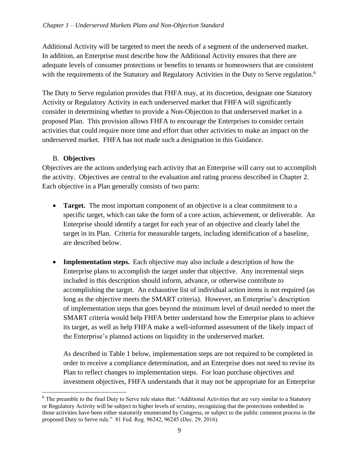Additional Activity will be targeted to meet the needs of a segment of the underserved market. In addition, an Enterprise must describe how the Additional Activity ensures that there are adequate levels of consumer protections or benefits to tenants or homeowners that are consistent with the requirements of the Statutory and Regulatory Activities in the Duty to Serve regulation.<sup>6</sup>

The Duty to Serve regulation provides that FHFA may, at its discretion, designate one Statutory Activity or Regulatory Activity in each underserved market that FHFA will significantly consider in determining whether to provide a Non-Objection to that underserved market in a proposed Plan. This provision allows FHFA to encourage the Enterprises to consider certain activities that could require more time and effort than other activities to make an impact on the underserved market. FHFA has not made such a designation in this Guidance.

#### B. **Objectives**

Objectives are the actions underlying each activity that an Enterprise will carry out to accomplish the activity. Objectives are central to the evaluation and rating process described in Chapter 2. Each objective in a Plan generally consists of two parts:

- **Target.** The most important component of an objective is a clear commitment to a specific target, which can take the form of a core action, achievement, or deliverable. An Enterprise should identify a target for each year of an objective and clearly label the target in its Plan. Criteria for measurable targets, including identification of a baseline, are described below.
- **Implementation steps.** Each objective may also include a description of how the Enterprise plans to accomplish the target under that objective. Any incremental steps included in this description should inform, advance, or otherwise contribute to accomplishing the target. An exhaustive list of individual action items is not required (as long as the objective meets the SMART criteria). However, an Enterprise's description of implementation steps that goes beyond the minimum level of detail needed to meet the SMART criteria would help FHFA better understand how the Enterprise plans to achieve its target, as well as help FHFA make a well-informed assessment of the likely impact of the Enterprise's planned actions on liquidity in the underserved market.

As described in Table 1 below, implementation steps are not required to be completed in order to receive a compliance determination, and an Enterprise does not need to revise its Plan to reflect changes to implementation steps. For loan purchase objectives and investment objectives, FHFA understands that it may not be appropriate for an Enterprise

<sup>&</sup>lt;sup>6</sup> The preamble to the final Duty to Serve rule states that: "Additional Activities that are very similar to a Statutory or Regulatory Activity will be subject to higher levels of scrutiny, recognizing that the protections embedded in those activities have been either statutorily enumerated by Congress, or subject to the public comment process in the proposed Duty to Serve rule." 81 Fed. Reg. 96242, 96245 (Dec. 29, 2016).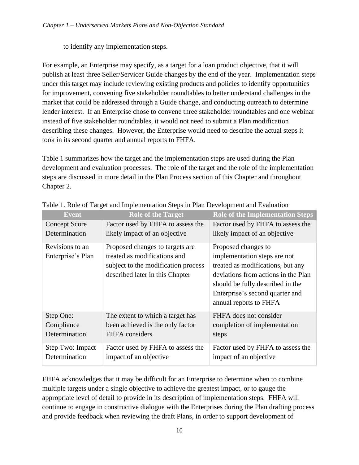to identify any implementation steps.

For example, an Enterprise may specify, as a target for a loan product objective, that it will publish at least three Seller/Servicer Guide changes by the end of the year. Implementation steps under this target may include reviewing existing products and policies to identify opportunities for improvement, convening five stakeholder roundtables to better understand challenges in the market that could be addressed through a Guide change, and conducting outreach to determine lender interest. If an Enterprise chose to convene three stakeholder roundtables and one webinar instead of five stakeholder roundtables, it would not need to submit a Plan modification describing these changes. However, the Enterprise would need to describe the actual steps it took in its second quarter and annual reports to FHFA.

Table 1 summarizes how the target and the implementation steps are used during the Plan development and evaluation processes. The role of the target and the role of the implementation steps are discussed in more detail in the Plan Process section of this Chapter and throughout Chapter 2.

| Event                                    | <b>Role of the Target</b>                                                                                                                 | <b>Role of the Implementation Steps</b>                                                                                                                                                                |
|------------------------------------------|-------------------------------------------------------------------------------------------------------------------------------------------|--------------------------------------------------------------------------------------------------------------------------------------------------------------------------------------------------------|
| <b>Concept Score</b>                     | Factor used by FHFA to assess the                                                                                                         | Factor used by FHFA to assess the                                                                                                                                                                      |
| Determination                            | likely impact of an objective                                                                                                             | likely impact of an objective                                                                                                                                                                          |
| Revisions to an<br>Enterprise's Plan     | Proposed changes to targets are<br>treated as modifications and<br>subject to the modification process<br>described later in this Chapter | Proposed changes to<br>implementation steps are not<br>treated as modifications, but any<br>deviations from actions in the Plan<br>should be fully described in the<br>Enterprise's second quarter and |
|                                          |                                                                                                                                           | annual reports to FHFA                                                                                                                                                                                 |
| Step One:<br>Compliance<br>Determination | The extent to which a target has<br>been achieved is the only factor<br>FHFA considers                                                    | FHFA does not consider<br>completion of implementation<br>steps                                                                                                                                        |
| Step Two: Impact<br>Determination        | Factor used by FHFA to assess the<br>impact of an objective                                                                               | Factor used by FHFA to assess the<br>impact of an objective                                                                                                                                            |

Table 1. Role of Target and Implementation Steps in Plan Development and Evaluation

FHFA acknowledges that it may be difficult for an Enterprise to determine when to combine multiple targets under a single objective to achieve the greatest impact, or to gauge the appropriate level of detail to provide in its description of implementation steps. FHFA will continue to engage in constructive dialogue with the Enterprises during the Plan drafting process and provide feedback when reviewing the draft Plans, in order to support development of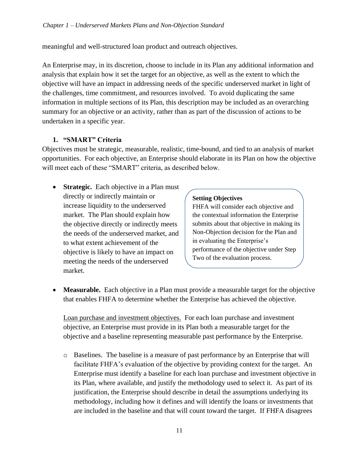meaningful and well-structured loan product and outreach objectives.

An Enterprise may, in its discretion, choose to include in its Plan any additional information and analysis that explain how it set the target for an objective, as well as the extent to which the objective will have an impact in addressing needs of the specific underserved market in light of the challenges, time commitment, and resources involved. To avoid duplicating the same information in multiple sections of its Plan, this description may be included as an overarching summary for an objective or an activity, rather than as part of the discussion of actions to be undertaken in a specific year.

#### **1. "SMART" Criteria**

Objectives must be strategic, measurable, realistic, time-bound, and tied to an analysis of market opportunities. For each objective, an Enterprise should elaborate in its Plan on how the objective will meet each of these "SMART" criteria, as described below.

• **Strategic.** Each objective in a Plan must directly or indirectly maintain or increase liquidity to the underserved market. The Plan should explain how the objective directly or indirectly meets the needs of the underserved market, and to what extent achievement of the objective is likely to have an impact on meeting the needs of the underserved market.

#### **Setting Objectives**

FHFA will consider each objective and the contextual information the Enterprise submits about that objective in making its Non-Objection decision for the Plan and in evaluating the Enterprise's performance of the objective under Step Two of the evaluation process.

• **Measurable.** Each objective in a Plan must provide a measurable target for the objective that enables FHFA to determine whether the Enterprise has achieved the objective.

Loan purchase and investment objectives. For each loan purchase and investment objective, an Enterprise must provide in its Plan both a measurable target for the objective and a baseline representing measurable past performance by the Enterprise.

o Baselines. The baseline is a measure of past performance by an Enterprise that will facilitate FHFA's evaluation of the objective by providing context for the target. An Enterprise must identify a baseline for each loan purchase and investment objective in its Plan, where available, and justify the methodology used to select it. As part of its justification, the Enterprise should describe in detail the assumptions underlying its methodology, including how it defines and will identify the loans or investments that are included in the baseline and that will count toward the target. If FHFA disagrees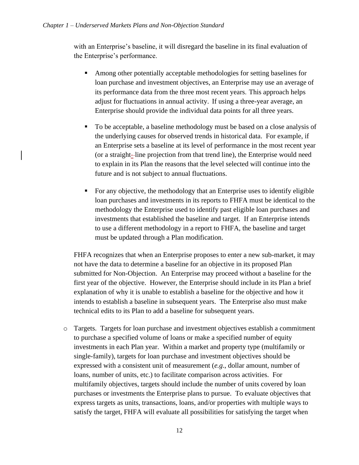with an Enterprise's baseline, it will disregard the baseline in its final evaluation of the Enterprise's performance.

- Among other potentially acceptable methodologies for setting baselines for loan purchase and investment objectives, an Enterprise may use an average of its performance data from the three most recent years. This approach helps adjust for fluctuations in annual activity. If using a three-year average, an Enterprise should provide the individual data points for all three years.
- To be acceptable, a baseline methodology must be based on a close analysis of the underlying causes for observed trends in historical data. For example, if an Enterprise sets a baseline at its level of performance in the most recent year (or a straight- line projection from that trend line), the Enterprise would need to explain in its Plan the reasons that the level selected will continue into the future and is not subject to annual fluctuations.
- For any objective, the methodology that an Enterprise uses to identify eligible loan purchases and investments in its reports to FHFA must be identical to the methodology the Enterprise used to identify past eligible loan purchases and investments that established the baseline and target. If an Enterprise intends to use a different methodology in a report to FHFA, the baseline and target must be updated through a Plan modification.

FHFA recognizes that when an Enterprise proposes to enter a new sub-market, it may not have the data to determine a baseline for an objective in its proposed Plan submitted for Non-Objection. An Enterprise may proceed without a baseline for the first year of the objective. However, the Enterprise should include in its Plan a brief explanation of why it is unable to establish a baseline for the objective and how it intends to establish a baseline in subsequent years. The Enterprise also must make technical edits to its Plan to add a baseline for subsequent years.

o Targets. Targets for loan purchase and investment objectives establish a commitment to purchase a specified volume of loans or make a specified number of equity investments in each Plan year. Within a market and property type (multifamily or single-family), targets for loan purchase and investment objectives should be expressed with a consistent unit of measurement (*e.g*., dollar amount, number of loans, number of units, etc.) to facilitate comparison across activities. For multifamily objectives, targets should include the number of units covered by loan purchases or investments the Enterprise plans to pursue. To evaluate objectives that express targets as units, transactions, loans, and/or properties with multiple ways to satisfy the target, FHFA will evaluate all possibilities for satisfying the target when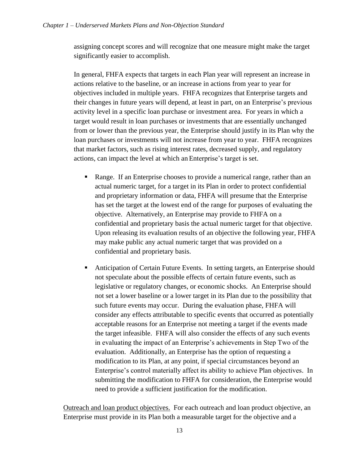assigning concept scores and will recognize that one measure might make the target significantly easier to accomplish.

In general, FHFA expects that targets in each Plan year will represent an increase in actions relative to the baseline, or an increase in actions from year to year for objectives included in multiple years. FHFA recognizes that Enterprise targets and their changes in future years will depend, at least in part, on an Enterprise's previous activity level in a specific loan purchase or investment area. For years in which a target would result in loan purchases or investments that are essentially unchanged from or lower than the previous year, the Enterprise should justify in its Plan why the loan purchases or investments will not increase from year to year. FHFA recognizes that market factors, such as rising interest rates, decreased supply, and regulatory actions, can impact the level at which an Enterprise's target is set.

- Range. If an Enterprise chooses to provide a numerical range, rather than an actual numeric target, for a target in its Plan in order to protect confidential and proprietary information or data, FHFA will presume that the Enterprise has set the target at the lowest end of the range for purposes of evaluating the objective. Alternatively, an Enterprise may provide to FHFA on a confidential and proprietary basis the actual numeric target for that objective. Upon releasing its evaluation results of an objective the following year, FHFA may make public any actual numeric target that was provided on a confidential and proprietary basis.
- Anticipation of Certain Future Events. In setting targets, an Enterprise should not speculate about the possible effects of certain future events, such as legislative or regulatory changes, or economic shocks. An Enterprise should not set a lower baseline or a lower target in its Plan due to the possibility that such future events may occur. During the evaluation phase, FHFA will consider any effects attributable to specific events that occurred as potentially acceptable reasons for an Enterprise not meeting a target if the events made the target infeasible. FHFA will also consider the effects of any such events in evaluating the impact of an Enterprise's achievements in Step Two of the evaluation. Additionally, an Enterprise has the option of requesting a modification to its Plan, at any point, if special circumstances beyond an Enterprise's control materially affect its ability to achieve Plan objectives. In submitting the modification to FHFA for consideration, the Enterprise would need to provide a sufficient justification for the modification.

Outreach and loan product objectives. For each outreach and loan product objective, an Enterprise must provide in its Plan both a measurable target for the objective and a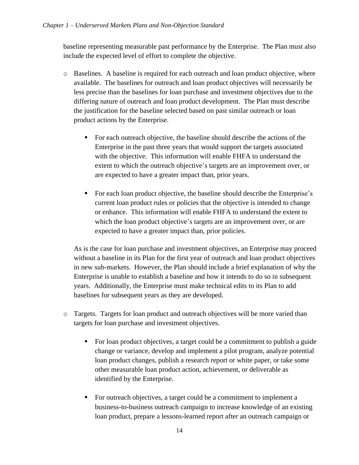baseline representing measurable past performance by the Enterprise. The Plan must also include the expected level of effort to complete the objective.

- o Baselines. A baseline is required for each outreach and loan product objective, where available. The baselines for outreach and loan product objectives will necessarily be less precise than the baselines for loan purchase and investment objectives due to the differing nature of outreach and loan product development. The Plan must describe the justification for the baseline selected based on past similar outreach or loan product actions by the Enterprise.
	- For each outreach objective, the baseline should describe the actions of the Enterprise in the past three years that would support the targets associated with the objective. This information will enable FHFA to understand the extent to which the outreach objective's targets are an improvement over, or are expected to have a greater impact than, prior years.
	- For each loan product objective, the baseline should describe the Enterprise's current loan product rules or policies that the objective is intended to change or enhance. This information will enable FHFA to understand the extent to which the loan product objective's targets are an improvement over, or are expected to have a greater impact than, prior policies.

As is the case for loan purchase and investment objectives, an Enterprise may proceed without a baseline in its Plan for the first year of outreach and loan product objectives in new sub-markets. However, the Plan should include a brief explanation of why the Enterprise is unable to establish a baseline and how it intends to do so in subsequent years. Additionally, the Enterprise must make technical edits to its Plan to add baselines for subsequent years as they are developed.

- o Targets. Targets for loan product and outreach objectives will be more varied than targets for loan purchase and investment objectives.
	- For loan product objectives, a target could be a commitment to publish a guide change or variance, develop and implement a pilot program, analyze potential loan product changes, publish a research report or white paper, or take some other measurable loan product action, achievement, or deliverable as identified by the Enterprise.
	- For outreach objectives, a target could be a commitment to implement a business-to-business outreach campaign to increase knowledge of an existing loan product, prepare a lessons-learned report after an outreach campaign or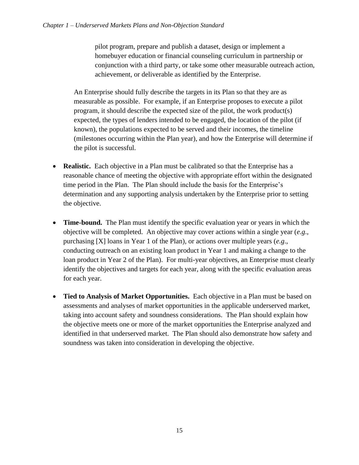pilot program, prepare and publish a dataset, design or implement a homebuyer education or financial counseling curriculum in partnership or conjunction with a third party, or take some other measurable outreach action, achievement, or deliverable as identified by the Enterprise.

An Enterprise should fully describe the targets in its Plan so that they are as measurable as possible. For example, if an Enterprise proposes to execute a pilot program, it should describe the expected size of the pilot, the work product(s) expected, the types of lenders intended to be engaged, the location of the pilot (if known), the populations expected to be served and their incomes, the timeline (milestones occurring within the Plan year), and how the Enterprise will determine if the pilot is successful.

- **Realistic.** Each objective in a Plan must be calibrated so that the Enterprise has a reasonable chance of meeting the objective with appropriate effort within the designated time period in the Plan. The Plan should include the basis for the Enterprise's determination and any supporting analysis undertaken by the Enterprise prior to setting the objective.
- **Time-bound.** The Plan must identify the specific evaluation year or years in which the objective will be completed. An objective may cover actions within a single year (*e.g*., purchasing [X] loans in Year 1 of the Plan), or actions over multiple years (*e.g*., conducting outreach on an existing loan product in Year 1 and making a change to the loan product in Year 2 of the Plan). For multi-year objectives, an Enterprise must clearly identify the objectives and targets for each year, along with the specific evaluation areas for each year.
- **Tied to Analysis of Market Opportunities.** Each objective in a Plan must be based on assessments and analyses of market opportunities in the applicable underserved market, taking into account safety and soundness considerations. The Plan should explain how the objective meets one or more of the market opportunities the Enterprise analyzed and identified in that underserved market. The Plan should also demonstrate how safety and soundness was taken into consideration in developing the objective.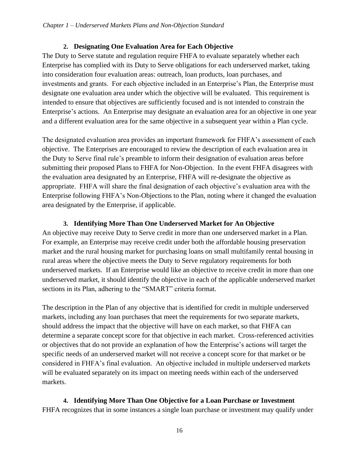#### **2. Designating One Evaluation Area for Each Objective**

The Duty to Serve statute and regulation require FHFA to evaluate separately whether each Enterprise has complied with its Duty to Serve obligations for each underserved market, taking into consideration four evaluation areas: outreach, loan products, loan purchases, and investments and grants. For each objective included in an Enterprise's Plan, the Enterprise must designate one evaluation area under which the objective will be evaluated. This requirement is intended to ensure that objectives are sufficiently focused and is not intended to constrain the Enterprise's actions. An Enterprise may designate an evaluation area for an objective in one year and a different evaluation area for the same objective in a subsequent year within a Plan cycle.

The designated evaluation area provides an important framework for FHFA's assessment of each objective. The Enterprises are encouraged to review the description of each evaluation area in the Duty to Serve final rule's preamble to inform their designation of evaluation areas before submitting their proposed Plans to FHFA for Non-Objection. In the event FHFA disagrees with the evaluation area designated by an Enterprise, FHFA will re-designate the objective as appropriate. FHFA will share the final designation of each objective's evaluation area with the Enterprise following FHFA's Non-Objections to the Plan, noting where it changed the evaluation area designated by the Enterprise, if applicable.

#### **3. Identifying More Than One Underserved Market for An Objective**

An objective may receive Duty to Serve credit in more than one underserved market in a Plan. For example, an Enterprise may receive credit under both the affordable housing preservation market and the rural housing market for purchasing loans on small multifamily rental housing in rural areas where the objective meets the Duty to Serve regulatory requirements for both underserved markets. If an Enterprise would like an objective to receive credit in more than one underserved market, it should identify the objective in each of the applicable underserved market sections in its Plan, adhering to the "SMART" criteria format.

The description in the Plan of any objective that is identified for credit in multiple underserved markets, including any loan purchases that meet the requirements for two separate markets, should address the impact that the objective will have on each market, so that FHFA can determine a separate concept score for that objective in each market. Cross-referenced activities or objectives that do not provide an explanation of how the Enterprise's actions will target the specific needs of an underserved market will not receive a concept score for that market or be considered in FHFA's final evaluation. An objective included in multiple underserved markets will be evaluated separately on its impact on meeting needs within each of the underserved markets.

**4. Identifying More Than One Objective for a Loan Purchase or Investment** FHFA recognizes that in some instances a single loan purchase or investment may qualify under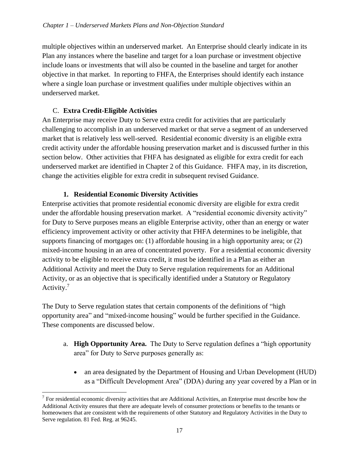multiple objectives within an underserved market. An Enterprise should clearly indicate in its Plan any instances where the baseline and target for a loan purchase or investment objective include loans or investments that will also be counted in the baseline and target for another objective in that market. In reporting to FHFA, the Enterprises should identify each instance where a single loan purchase or investment qualifies under multiple objectives within an underserved market.

#### C. **Extra Credit-Eligible Activities**

An Enterprise may receive Duty to Serve extra credit for activities that are particularly challenging to accomplish in an underserved market or that serve a segment of an underserved market that is relatively less well-served. Residential economic diversity is an eligible extra credit activity under the affordable housing preservation market and is discussed further in this section below. Other activities that FHFA has designated as eligible for extra credit for each underserved market are identified in Chapter 2 of this Guidance. FHFA may, in its discretion, change the activities eligible for extra credit in subsequent revised Guidance.

#### **1. Residential Economic Diversity Activities**

Enterprise activities that promote residential economic diversity are eligible for extra credit under the affordable housing preservation market. A "residential economic diversity activity" for Duty to Serve purposes means an eligible Enterprise activity, other than an energy or water efficiency improvement activity or other activity that FHFA determines to be ineligible, that supports financing of mortgages on: (1) affordable housing in a high opportunity area; or (2) mixed-income housing in an area of concentrated poverty. For a residential economic diversity activity to be eligible to receive extra credit, it must be identified in a Plan as either an Additional Activity and meet the Duty to Serve regulation requirements for an Additional Activity, or as an objective that is specifically identified under a Statutory or Regulatory Activity.<sup>7</sup>

The Duty to Serve regulation states that certain components of the definitions of "high opportunity area" and "mixed-income housing" would be further specified in the Guidance. These components are discussed below.

- a. **High Opportunity Area.** The Duty to Serve regulation defines a "high opportunity area" for Duty to Serve purposes generally as:
	- an area designated by the Department of Housing and Urban Development (HUD) as a "Difficult Development Area" (DDA) during any year covered by a Plan or in

 $<sup>7</sup>$  For residential economic diversity activities that are Additional Activities, an Enterprise must describe how the</sup> Additional Activity ensures that there are adequate levels of consumer protections or benefits to the tenants or homeowners that are consistent with the requirements of other Statutory and Regulatory Activities in the Duty to Serve regulation. 81 Fed. Reg. at 96245.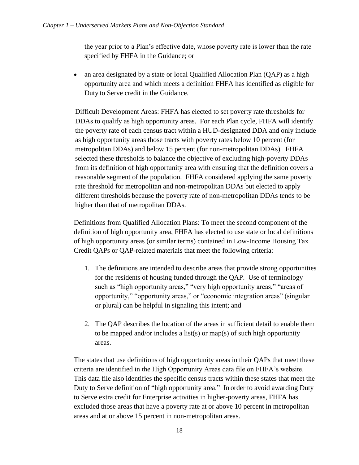the year prior to a Plan's effective date, whose poverty rate is lower than the rate specified by FHFA in the Guidance; or

• an area designated by a state or local Qualified Allocation Plan (QAP) as a high opportunity area and which meets a definition FHFA has identified as eligible for Duty to Serve credit in the Guidance.

Difficult Development Areas: FHFA has elected to set poverty rate thresholds for DDAs to qualify as high opportunity areas. For each Plan cycle, FHFA will identify the poverty rate of each census tract within a HUD-designated DDA and only include as high opportunity areas those tracts with poverty rates below 10 percent (for metropolitan DDAs) and below 15 percent (for non-metropolitan DDAs). FHFA selected these thresholds to balance the objective of excluding high-poverty DDAs from its definition of high opportunity area with ensuring that the definition covers a reasonable segment of the population. FHFA considered applying the same poverty rate threshold for metropolitan and non-metropolitan DDAs but elected to apply different thresholds because the poverty rate of non-metropolitan DDAs tends to be higher than that of metropolitan DDAs.

Definitions from Qualified Allocation Plans: To meet the second component of the definition of high opportunity area, FHFA has elected to use state or local definitions of high opportunity areas (or similar terms) contained in Low-Income Housing Tax Credit QAPs or QAP-related materials that meet the following criteria:

- 1. The definitions are intended to describe areas that provide strong opportunities for the residents of housing funded through the QAP. Use of terminology such as "high opportunity areas," "very high opportunity areas," "areas of opportunity," "opportunity areas," or "economic integration areas" (singular or plural) can be helpful in signaling this intent; and
- 2. The QAP describes the location of the areas in sufficient detail to enable them to be mapped and/or includes a list(s) or map(s) of such high opportunity areas.

The states that use definitions of high opportunity areas in their QAPs that meet these criteria are identified in the High Opportunity Areas data file on FHFA's website. This data file also identifies the specific census tracts within these states that meet the Duty to Serve definition of "high opportunity area." In order to avoid awarding Duty to Serve extra credit for Enterprise activities in higher-poverty areas, FHFA has excluded those areas that have a poverty rate at or above 10 percent in metropolitan areas and at or above 15 percent in non-metropolitan areas.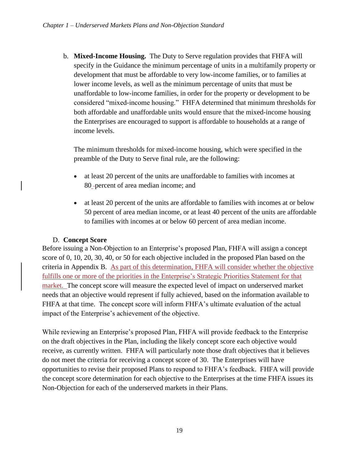b. **Mixed-Income Housing.** The Duty to Serve regulation provides that FHFA will specify in the Guidance the minimum percentage of units in a multifamily property or development that must be affordable to very low-income families, or to families at lower income levels, as well as the minimum percentage of units that must be unaffordable to low-income families, in order for the property or development to be considered "mixed-income housing." FHFA determined that minimum thresholds for both affordable and unaffordable units would ensure that the mixed-income housing the Enterprises are encouraged to support is affordable to households at a range of income levels.

The minimum thresholds for mixed-income housing, which were specified in the preamble of the Duty to Serve final rule, are the following:

- at least 20 percent of the units are unaffordable to families with incomes at 80 percent of area median income; and
- at least 20 percent of the units are affordable to families with incomes at or below 50 percent of area median income, or at least 40 percent of the units are affordable to families with incomes at or below 60 percent of area median income.

#### D. **Concept Score**

Before issuing a Non-Objection to an Enterprise's proposed Plan, FHFA will assign a concept score of 0, 10, 20, 30, 40, or 50 for each objective included in the proposed Plan based on the criteria in Appendix B. As part of this determination, FHFA will consider whether the objective fulfills one or more of the priorities in the Enterprise's Strategic Priorities Statement for that market. The concept score will measure the expected level of impact on underserved market needs that an objective would represent if fully achieved, based on the information available to FHFA at that time. The concept score will inform FHFA's ultimate evaluation of the actual impact of the Enterprise's achievement of the objective.

<span id="page-21-0"></span>While reviewing an Enterprise's proposed Plan, FHFA will provide feedback to the Enterprise on the draft objectives in the Plan, including the likely concept score each objective would receive, as currently written. FHFA will particularly note those draft objectives that it believes do not meet the criteria for receiving a concept score of 30. The Enterprises will have opportunities to revise their proposed Plans to respond to FHFA's feedback. FHFA will provide the concept score determination for each objective to the Enterprises at the time FHFA issues its Non-Objection for each of the underserved markets in their Plans.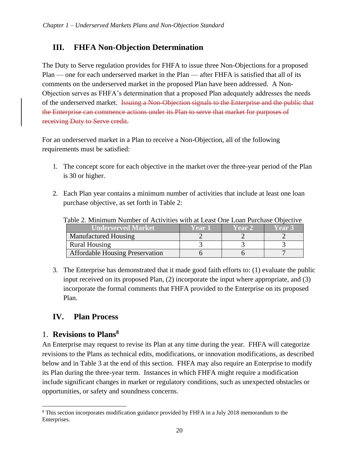## **III. FHFA Non-Objection Determination**

The Duty to Serve regulation provides for FHFA to issue three Non-Objections for a proposed Plan — one for each underserved market in the Plan — after FHFA is satisfied that all of its comments on the underserved market in the proposed Plan have been addressed. A Non-Objection serves as FHFA's determination that a proposed Plan adequately addresses the needs of the underserved market. Issuing a Non-Objection signals to the Enterprise and the public that the Enterprise can commence actions under its Plan to serve that market for purposes of receiving Duty to Serve credit.

For an underserved market in a Plan to receive a Non-Objection, all of the following requirements must be satisfied:

- 1. The concept score for each objective in the market over the three-year period of the Plan is 30 or higher.
- 2. Each Plan year contains a minimum number of activities that include at least one loan purchase objective, as set forth in Table 2:

| lable 2. Minimum Number of Activities with at Least One Loan Purchase Objective |        |               |               |  |  |
|---------------------------------------------------------------------------------|--------|---------------|---------------|--|--|
| Underserved Market'                                                             | Year 1 | <b>Year 2</b> | <b>Year 3</b> |  |  |
| Manufactured Housing                                                            |        |               |               |  |  |
| <b>Rural Housing</b>                                                            |        |               |               |  |  |
| <b>Affordable Housing Preservation</b>                                          |        |               |               |  |  |

Table 2. Minimum Number of Activities with at Least One Loan Purchase Objective

3. The Enterprise has demonstrated that it made good faith efforts to: (1) evaluate the public input received on its proposed Plan, (2) incorporate the input where appropriate, and (3) incorporate the formal comments that FHFA provided to the Enterprise on its proposed Plan.

## <span id="page-22-0"></span>**IV. Plan Process**

## 1. **Revisions to Plans<sup>8</sup>**

An Enterprise may request to revise its Plan at any time during the year. FHFA will categorize revisions to the Plans as technical edits, modifications, or innovation modifications, as described below and in Table 3 at the end of this section. FHFA may also require an Enterprise to modify its Plan during the three-year term. Instances in which FHFA might require a modification include significant changes in market or regulatory conditions, such as unexpected obstacles or opportunities, or safety and soundness concerns.

<sup>&</sup>lt;sup>8</sup> This section incorporates modification guidance provided by FHFA in a July 2018 memorandum to the Enterprises.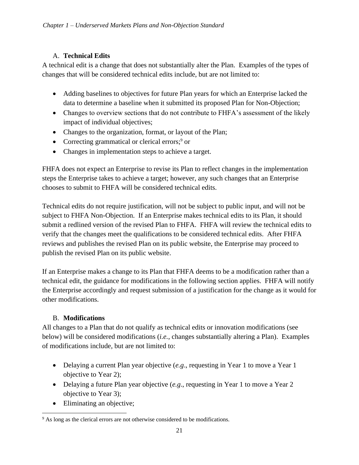#### A. **Technical Edits**

A technical edit is a change that does not substantially alter the Plan. Examples of the types of changes that will be considered technical edits include, but are not limited to:

- Adding baselines to objectives for future Plan years for which an Enterprise lacked the data to determine a baseline when it submitted its proposed Plan for Non-Objection;
- Changes to overview sections that do not contribute to FHFA's assessment of the likely impact of individual objectives;
- Changes to the organization, format, or layout of the Plan;
- Correcting grammatical or clerical errors; $9$  or
- Changes in implementation steps to achieve a target.

FHFA does not expect an Enterprise to revise its Plan to reflect changes in the implementation steps the Enterprise takes to achieve a target; however, any such changes that an Enterprise chooses to submit to FHFA will be considered technical edits.

Technical edits do not require justification, will not be subject to public input, and will not be subject to FHFA Non-Objection. If an Enterprise makes technical edits to its Plan, it should submit a redlined version of the revised Plan to FHFA. FHFA will review the technical edits to verify that the changes meet the qualifications to be considered technical edits. After FHFA reviews and publishes the revised Plan on its public website, the Enterprise may proceed to publish the revised Plan on its public website.

If an Enterprise makes a change to its Plan that FHFA deems to be a modification rather than a technical edit, the guidance for modifications in the following section applies. FHFA will notify the Enterprise accordingly and request submission of a justification for the change as it would for other modifications.

#### B. **Modifications**

All changes to a Plan that do not qualify as technical edits or innovation modifications (see below) will be considered modifications (*i.e.*, changes substantially altering a Plan). Examples of modifications include, but are not limited to:

- Delaying a current Plan year objective (*e.g.*, requesting in Year 1 to move a Year 1 objective to Year 2);
- Delaying a future Plan year objective (*e.g*., requesting in Year 1 to move a Year 2 objective to Year 3);
- Eliminating an objective;

<sup>&</sup>lt;sup>9</sup> As long as the clerical errors are not otherwise considered to be modifications.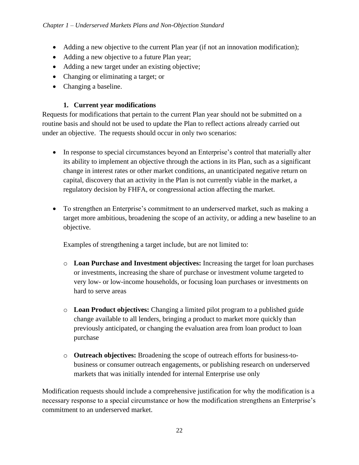- Adding a new objective to the current Plan year (if not an innovation modification);
- Adding a new objective to a future Plan year;
- Adding a new target under an existing objective;
- Changing or eliminating a target; or
- Changing a baseline.

#### **1. Current year modifications**

Requests for modifications that pertain to the current Plan year should not be submitted on a routine basis and should not be used to update the Plan to reflect actions already carried out under an objective. The requests should occur in only two scenarios:

- In response to special circumstances beyond an Enterprise's control that materially alter its ability to implement an objective through the actions in its Plan, such as a significant change in interest rates or other market conditions, an unanticipated negative return on capital, discovery that an activity in the Plan is not currently viable in the market, a regulatory decision by FHFA, or congressional action affecting the market.
- To strengthen an Enterprise's commitment to an underserved market, such as making a target more ambitious, broadening the scope of an activity, or adding a new baseline to an objective.

Examples of strengthening a target include, but are not limited to:

- o **Loan Purchase and Investment objectives:** Increasing the target for loan purchases or investments, increasing the share of purchase or investment volume targeted to very low- or low-income households, or focusing loan purchases or investments on hard to serve areas
- o **Loan Product objectives:** Changing a limited pilot program to a published guide change available to all lenders, bringing a product to market more quickly than previously anticipated, or changing the evaluation area from loan product to loan purchase
- o **Outreach objectives:** Broadening the scope of outreach efforts for business-tobusiness or consumer outreach engagements, or publishing research on underserved markets that was initially intended for internal Enterprise use only

Modification requests should include a comprehensive justification for why the modification is a necessary response to a special circumstance or how the modification strengthens an Enterprise's commitment to an underserved market.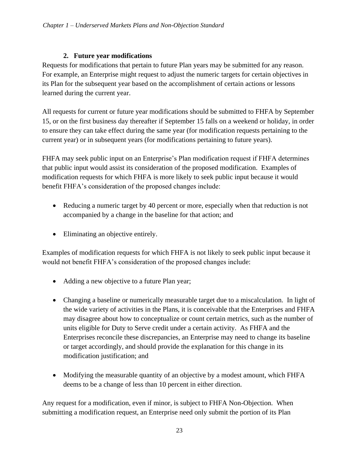#### **2. Future year modifications**

Requests for modifications that pertain to future Plan years may be submitted for any reason. For example, an Enterprise might request to adjust the numeric targets for certain objectives in its Plan for the subsequent year based on the accomplishment of certain actions or lessons learned during the current year.

All requests for current or future year modifications should be submitted to FHFA by September 15, or on the first business day thereafter if September 15 falls on a weekend or holiday, in order to ensure they can take effect during the same year (for modification requests pertaining to the current year) or in subsequent years (for modifications pertaining to future years).

FHFA may seek public input on an Enterprise's Plan modification request if FHFA determines that public input would assist its consideration of the proposed modification. Examples of modification requests for which FHFA is more likely to seek public input because it would benefit FHFA's consideration of the proposed changes include:

- Reducing a numeric target by 40 percent or more, especially when that reduction is not accompanied by a change in the baseline for that action; and
- Eliminating an objective entirely.

Examples of modification requests for which FHFA is not likely to seek public input because it would not benefit FHFA's consideration of the proposed changes include:

- Adding a new objective to a future Plan year;
- Changing a baseline or numerically measurable target due to a miscalculation. In light of the wide variety of activities in the Plans, it is conceivable that the Enterprises and FHFA may disagree about how to conceptualize or count certain metrics, such as the number of units eligible for Duty to Serve credit under a certain activity. As FHFA and the Enterprises reconcile these discrepancies, an Enterprise may need to change its baseline or target accordingly, and should provide the explanation for this change in its modification justification; and
- Modifying the measurable quantity of an objective by a modest amount, which FHFA deems to be a change of less than 10 percent in either direction.

Any request for a modification, even if minor, is subject to FHFA Non-Objection. When submitting a modification request, an Enterprise need only submit the portion of its Plan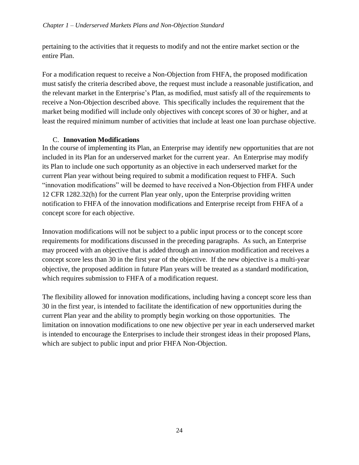pertaining to the activities that it requests to modify and not the entire market section or the entire Plan.

For a modification request to receive a Non-Objection from FHFA, the proposed modification must satisfy the criteria described above, the request must include a reasonable justification, and the relevant market in the Enterprise's Plan, as modified, must satisfy all of the requirements to receive a Non-Objection described above. This specifically includes the requirement that the market being modified will include only objectives with concept scores of 30 or higher, and at least the required minimum number of activities that include at least one loan purchase objective.

#### C. **Innovation Modifications**

In the course of implementing its Plan, an Enterprise may identify new opportunities that are not included in its Plan for an underserved market for the current year. An Enterprise may modify its Plan to include one such opportunity as an objective in each underserved market for the current Plan year without being required to submit a modification request to FHFA. Such "innovation modifications" will be deemed to have received a Non-Objection from FHFA under 12 CFR 1282.32(h) for the current Plan year only, upon the Enterprise providing written notification to FHFA of the innovation modifications and Enterprise receipt from FHFA of a concept score for each objective.

Innovation modifications will not be subject to a public input process or to the concept score requirements for modifications discussed in the preceding paragraphs. As such, an Enterprise may proceed with an objective that is added through an innovation modification and receives a concept score less than 30 in the first year of the objective. If the new objective is a multi-year objective, the proposed addition in future Plan years will be treated as a standard modification, which requires submission to FHFA of a modification request.

The flexibility allowed for innovation modifications, including having a concept score less than 30 in the first year, is intended to facilitate the identification of new opportunities during the current Plan year and the ability to promptly begin working on those opportunities. The limitation on innovation modifications to one new objective per year in each underserved market is intended to encourage the Enterprises to include their strongest ideas in their proposed Plans, which are subject to public input and prior FHFA Non-Objection.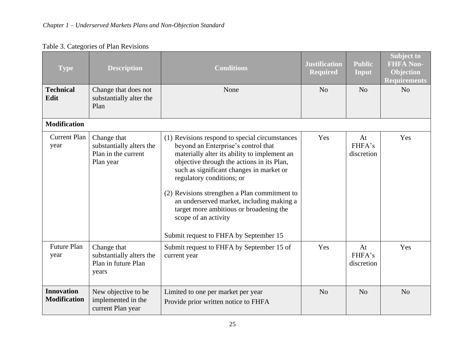| <b>Type</b>                              | <b>Description</b>                                                          | <b>Conditions</b>                                                                                                                                                                                                                                                                                                                                                                                                                                                       | <b>Justification</b><br><b>Required</b> | <b>Public</b><br>Input     | <b>Subject to</b><br><b>FHFA Non-</b><br><b>Objection</b><br><b>Requirements</b> |
|------------------------------------------|-----------------------------------------------------------------------------|-------------------------------------------------------------------------------------------------------------------------------------------------------------------------------------------------------------------------------------------------------------------------------------------------------------------------------------------------------------------------------------------------------------------------------------------------------------------------|-----------------------------------------|----------------------------|----------------------------------------------------------------------------------|
| <b>Technical</b><br>Edit                 | Change that does not<br>substantially alter the<br>Plan                     | None                                                                                                                                                                                                                                                                                                                                                                                                                                                                    | N <sub>o</sub>                          | N <sub>o</sub>             | N <sub>o</sub>                                                                   |
| <b>Modification</b>                      |                                                                             |                                                                                                                                                                                                                                                                                                                                                                                                                                                                         |                                         |                            |                                                                                  |
| <b>Current Plan</b><br>year              | Change that<br>substantially alters the<br>Plan in the current<br>Plan year | (1) Revisions respond to special circumstances<br>beyond an Enterprise's control that<br>materially alter its ability to implement an<br>objective through the actions in its Plan,<br>such as significant changes in market or<br>regulatory conditions; or<br>(2) Revisions strengthen a Plan commitment to<br>an underserved market, including making a<br>target more ambitious or broadening the<br>scope of an activity<br>Submit request to FHFA by September 15 | Yes                                     | At<br>FHFA's<br>discretion | Yes                                                                              |
| <b>Future Plan</b><br>year               | Change that<br>substantially alters the<br>Plan in future Plan<br>years     | Submit request to FHFA by September 15 of<br>current year                                                                                                                                                                                                                                                                                                                                                                                                               | Yes                                     | At<br>FHFA's<br>discretion | Yes                                                                              |
| <b>Innovation</b><br><b>Modification</b> | New objective to be<br>implemented in the<br>current Plan year              | Limited to one per market per year<br>Provide prior written notice to FHFA                                                                                                                                                                                                                                                                                                                                                                                              | N <sub>o</sub>                          | N <sub>o</sub>             | N <sub>o</sub>                                                                   |

## Table 3. Categories of Plan Revisions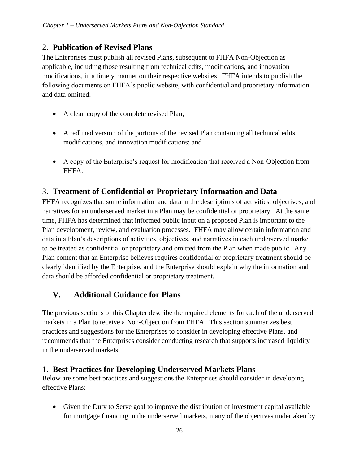## 2. **Publication of Revised Plans**

The Enterprises must publish all revised Plans, subsequent to FHFA Non-Objection as applicable, including those resulting from technical edits, modifications, and innovation modifications, in a timely manner on their respective websites. FHFA intends to publish the following documents on FHFA's public website, with confidential and proprietary information and data omitted:

- A clean copy of the complete revised Plan;
- A redlined version of the portions of the revised Plan containing all technical edits, modifications, and innovation modifications; and
- A copy of the Enterprise's request for modification that received a Non-Objection from FHFA.

## 3. **Treatment of Confidential or Proprietary Information and Data**

FHFA recognizes that some information and data in the descriptions of activities, objectives, and narratives for an underserved market in a Plan may be confidential or proprietary. At the same time, FHFA has determined that informed public input on a proposed Plan is important to the Plan development, review, and evaluation processes. FHFA may allow certain information and data in a Plan's descriptions of activities, objectives, and narratives in each underserved market to be treated as confidential or proprietary and omitted from the Plan when made public. Any Plan content that an Enterprise believes requires confidential or proprietary treatment should be clearly identified by the Enterprise, and the Enterprise should explain why the information and data should be afforded confidential or proprietary treatment.

## <span id="page-28-0"></span>**V. Additional Guidance for Plans**

The previous sections of this Chapter describe the required elements for each of the underserved markets in a Plan to receive a Non-Objection from FHFA. This section summarizes best practices and suggestions for the Enterprises to consider in developing effective Plans, and recommends that the Enterprises consider conducting research that supports increased liquidity in the underserved markets.

## 1. **Best Practices for Developing Underserved Markets Plans**

Below are some best practices and suggestions the Enterprises should consider in developing effective Plans:

• Given the Duty to Serve goal to improve the distribution of investment capital available for mortgage financing in the underserved markets, many of the objectives undertaken by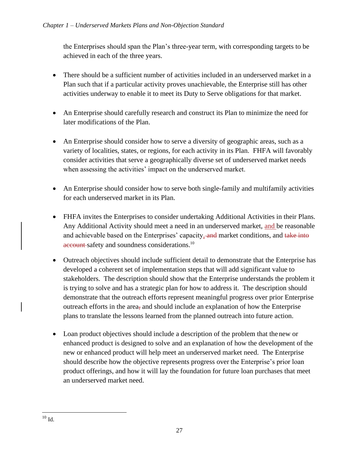the Enterprises should span the Plan's three-year term, with corresponding targets to be achieved in each of the three years.

- There should be a sufficient number of activities included in an underserved market in a Plan such that if a particular activity proves unachievable, the Enterprise still has other activities underway to enable it to meet its Duty to Serve obligations for that market.
- An Enterprise should carefully research and construct its Plan to minimize the need for later modifications of the Plan.
- An Enterprise should consider how to serve a diversity of geographic areas, such as a variety of localities, states, or regions, for each activity in its Plan. FHFA will favorably consider activities that serve a geographically diverse set of underserved market needs when assessing the activities' impact on the underserved market.
- An Enterprise should consider how to serve both single-family and multifamily activities for each underserved market in its Plan.
- FHFA invites the Enterprises to consider undertaking Additional Activities in their Plans. Any Additional Activity should meet a need in an underserved market, and be reasonable and achievable based on the Enterprises' capacity, and market conditions, and take into account safety and soundness considerations.<sup>10</sup>
- Outreach objectives should include sufficient detail to demonstrate that the Enterprise has developed a coherent set of implementation steps that will add significant value to stakeholders. The description should show that the Enterprise understands the problem it is trying to solve and has a strategic plan for how to address it. The description should demonstrate that the outreach efforts represent meaningful progress over prior Enterprise outreach efforts in the area, and should include an explanation of how the Enterprise plans to translate the lessons learned from the planned outreach into future action.
- Loan product objectives should include a description of the problem that the new or enhanced product is designed to solve and an explanation of how the development of the new or enhanced product will help meet an underserved market need. The Enterprise should describe how the objective represents progress over the Enterprise's prior loan product offerings, and how it will lay the foundation for future loan purchases that meet an underserved market need.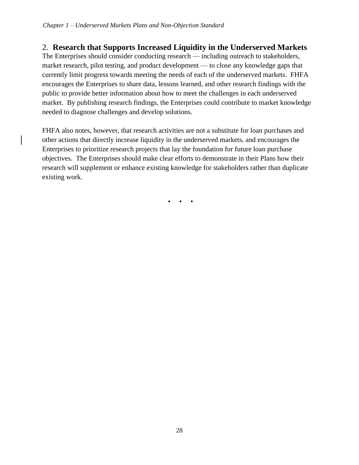## 2. **Research that Supports Increased Liquidity in the Underserved Markets**

The Enterprises should consider conducting research — including outreach to stakeholders, market research, pilot testing, and product development — to close any knowledge gaps that currently limit progress towards meeting the needs of each of the underserved markets. FHFA encourages the Enterprises to share data, lessons learned, and other research findings with the public to provide better information about how to meet the challenges in each underserved market. By publishing research findings, the Enterprises could contribute to market knowledge needed to diagnose challenges and develop solutions.

FHFA also notes, however, that research activities are not a substitute for loan purchases and other actions that directly increase liquidity in the underserved markets, and encourages the Enterprises to prioritize research projects that lay the foundation for future loan purchase objectives. The Enterprises should make clear efforts to demonstrate in their Plans how their research will supplement or enhance existing knowledge for stakeholders rather than duplicate existing work.

• • •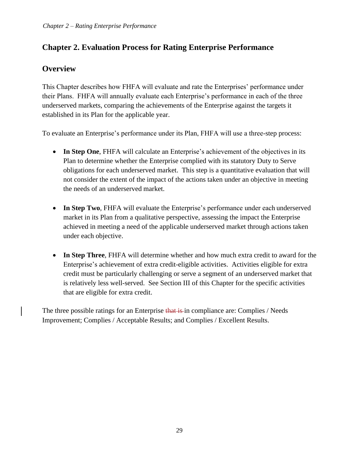## <span id="page-31-0"></span>**Chapter 2. Evaluation Process for Rating Enterprise Performance**

## **Overview**

This Chapter describes how FHFA will evaluate and rate the Enterprises' performance under their Plans. FHFA will annually evaluate each Enterprise's performance in each of the three underserved markets, comparing the achievements of the Enterprise against the targets it established in its Plan for the applicable year.

To evaluate an Enterprise's performance under its Plan, FHFA will use a three-step process:

- **In Step One**, FHFA will calculate an Enterprise's achievement of the objectives in its Plan to determine whether the Enterprise complied with its statutory Duty to Serve obligations for each underserved market. This step is a quantitative evaluation that will not consider the extent of the impact of the actions taken under an objective in meeting the needs of an underserved market.
- **In Step Two**, FHFA will evaluate the Enterprise's performance under each underserved market in its Plan from a qualitative perspective, assessing the impact the Enterprise achieved in meeting a need of the applicable underserved market through actions taken under each objective.
- **In Step Three**, FHFA will determine whether and how much extra credit to award for the Enterprise's achievement of extra credit-eligible activities. Activities eligible for extra credit must be particularly challenging or serve a segment of an underserved market that is relatively less well-served. See Section III of this Chapter for the specific activities that are eligible for extra credit.

The three possible ratings for an Enterprise that is in compliance are: Complies / Needs Improvement; Complies / Acceptable Results; and Complies / Excellent Results.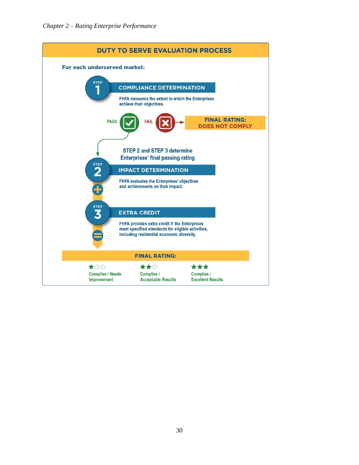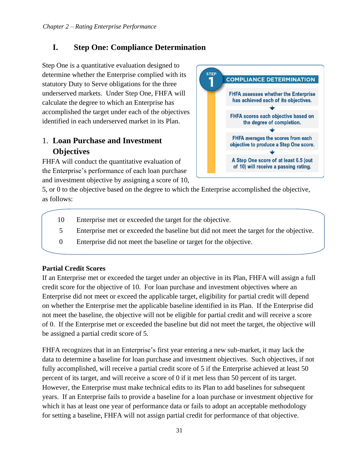## <span id="page-33-0"></span>**I. Step One: Compliance Determination**

Step One is a quantitative evaluation designed to determine whether the Enterprise complied with its statutory Duty to Serve obligations for the three underserved markets. Under Step One, FHFA will calculate the degree to which an Enterprise has accomplished the target under each of the objectives identified in each underserved market in its Plan.

## 1. **Loan Purchase and Investment Objectives**

FHFA will conduct the quantitative evaluation of the Enterprise's performance of each loan purchase and investment objective by assigning a score of 10,



5, or 0 to the objective based on the degree to which the Enterprise accomplished the objective, as follows:

- 10 Enterprise met or exceeded the target for the objective.
- 5 Enterprise met or exceeded the baseline but did not meet the target for the objective.
- 0 Enterprise did not meet the baseline or target for the objective.

#### **Partial Credit Scores**

If an Enterprise met or exceeded the target under an objective in its Plan, FHFA will assign a full credit score for the objective of 10. For loan purchase and investment objectives where an Enterprise did not meet or exceed the applicable target, eligibility for partial credit will depend on whether the Enterprise met the applicable baseline identified in its Plan. If the Enterprise did not meet the baseline, the objective will not be eligible for partial credit and will receive a score of 0. If the Enterprise met or exceeded the baseline but did not meet the target, the objective will be assigned a partial credit score of 5.

FHFA recognizes that in an Enterprise's first year entering a new sub-market, it may lack the data to determine a baseline for loan purchase and investment objectives. Such objectives, if not fully accomplished, will receive a partial credit score of 5 if the Enterprise achieved at least 50 percent of its target, and will receive a score of 0 if it met less than 50 percent of its target. However, the Enterprise must make technical edits to its Plan to add baselines for subsequent years. If an Enterprise fails to provide a baseline for a loan purchase or investment objective for which it has at least one year of performance data or fails to adopt an acceptable methodology for setting a baseline, FHFA will not assign partial credit for performance of that objective.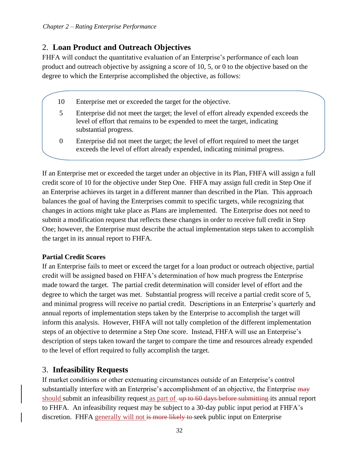## 2. **Loan Product and Outreach Objectives**

FHFA will conduct the quantitative evaluation of an Enterprise's performance of each loan product and outreach objective by assigning a score of 10, 5, or 0 to the objective based on the degree to which the Enterprise accomplished the objective, as follows:

- 10 Enterprise met or exceeded the target for the objective.
- 5 Enterprise did not meet the target; the level of effort already expended exceeds the level of effort that remains to be expended to meet the target, indicating substantial progress.
- 0 Enterprise did not meet the target; the level of effort required to meet the target exceeds the level of effort already expended, indicating minimal progress.

If an Enterprise met or exceeded the target under an objective in its Plan, FHFA will assign a full credit score of 10 for the objective under Step One. FHFA may assign full credit in Step One if an Enterprise achieves its target in a different manner than described in the Plan. This approach balances the goal of having the Enterprises commit to specific targets, while recognizing that changes in actions might take place as Plans are implemented. The Enterprise does not need to submit a modification request that reflects these changes in order to receive full credit in Step One; however, the Enterprise must describe the actual implementation steps taken to accomplish the target in its annual report to FHFA.

#### **Partial Credit Scores**

If an Enterprise fails to meet or exceed the target for a loan product or outreach objective, partial credit will be assigned based on FHFA's determination of how much progress the Enterprise made toward the target. The partial credit determination will consider level of effort and the degree to which the target was met. Substantial progress will receive a partial credit score of 5, and minimal progress will receive no partial credit. Descriptions in an Enterprise's quarterly and annual reports of implementation steps taken by the Enterprise to accomplish the target will inform this analysis. However, FHFA will not tally completion of the different implementation steps of an objective to determine a Step One score. Instead, FHFA will use an Enterprise's description of steps taken toward the target to compare the time and resources already expended to the level of effort required to fully accomplish the target.

## 3. **Infeasibility Requests**

If market conditions or other extenuating circumstances outside of an Enterprise's control substantially interfere with an Enterprise's accomplishment of an objective, the Enterprise may should submit an infeasibility request as part of up to 60 days before submitting its annual report to FHFA. An infeasibility request may be subject to a 30-day public input period at FHFA's discretion. FHFA generally will not is more likely to seek public input on Enterprise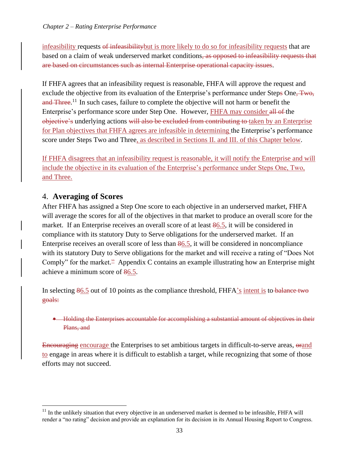infeasibility requests of infeasibilitybut is more likely to do so for infeasibility requests that are based on a claim of weak underserved market conditions, as opposed to infeasibility requests that are based on circumstances such as internal Enterprise operational capacity issues.

If FHFA agrees that an infeasibility request is reasonable, FHFA will approve the request and exclude the objective from its evaluation of the Enterprise's performance under Steps One, Two, and Three.<sup>11</sup> In such cases, failure to complete the objective will not harm or benefit the Enterprise's performance score under Step One. However, FHFA may consider all of the objective's underlying actions will also be excluded from contributing to taken by an Enterprise for Plan objectives that FHFA agrees are infeasible in determining the Enterprise's performance score under Steps Two and Three, as described in Sections II. and III. of this Chapter below.

If FHFA disagrees that an infeasibility request is reasonable, it will notify the Enterprise and will include the objective in its evaluation of the Enterprise's performance under Steps One, Two, and Three.

#### 4. **Averaging of Scores**

After FHFA has assigned a Step One score to each objective in an underserved market, FHFA will average the scores for all of the objectives in that market to produce an overall score for the market. If an Enterprise receives an overall score of at least 86.5, it will be considered in compliance with its statutory Duty to Serve obligations for the underserved market. If an Enterprise receives an overall score of less than 86.5, it will be considered in noncompliance with its statutory Duty to Serve obligations for the market and will receive a rating of "Does Not Comply" for the market.<sup>2</sup> Appendix C contains an example illustrating how an Enterprise might achieve a minimum score of 86.5.

In selecting 86.5 out of 10 points as the compliance threshold, FHFA's intent is to balance two goals:

• Holding the Enterprises accountable for accomplishing a substantial amount of objectives in their Plans, and

Encouraging encourage the Enterprises to set ambitious targets in difficult-to-serve areas,  $\theta$ and to engage in areas where it is difficult to establish a target, while recognizing that some of those efforts may not succeed.

 $11$  In the unlikely situation that every objective in an underserved market is deemed to be infeasible, FHFA will render a "no rating" decision and provide an explanation for its decision in its Annual Housing Report to Congress.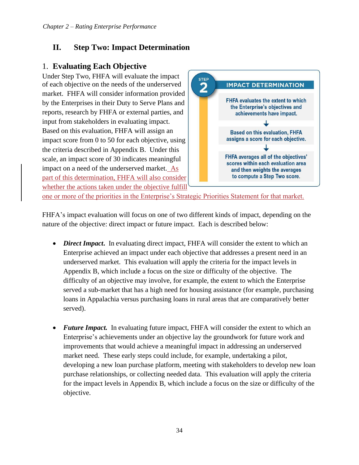## <span id="page-36-0"></span>**II. Step Two: Impact Determination**

## 1. **Evaluating Each Objective**

Under Step Two, FHFA will evaluate the impact of each objective on the needs of the underserved market. FHFA will consider information provided by the Enterprises in their Duty to Serve Plans and reports, research by FHFA or external parties, and input from stakeholders in evaluating impact. Based on this evaluation, FHFA will assign an impact score from 0 to 50 for each objective, using the criteria described in Appendix B. Under this scale, an impact score of 30 indicates meaningful impact on a need of the underserved market. As part of this determination, FHFA will also consider whether the actions taken under the objective fulfill



one or more of the priorities in the Enterprise's Strategic Priorities Statement for that market.

FHFA's impact evaluation will focus on one of two different kinds of impact, depending on the nature of the objective: direct impact or future impact. Each is described below:

- *Direct Impact*. In evaluating direct impact, FHFA will consider the extent to which an Enterprise achieved an impact under each objective that addresses a present need in an underserved market. This evaluation will apply the criteria for the impact levels in Appendix B, which include a focus on the size or difficulty of the objective. The difficulty of an objective may involve, for example, the extent to which the Enterprise served a sub-market that has a high need for housing assistance (for example, purchasing loans in Appalachia versus purchasing loans in rural areas that are comparatively better served).
- *Future Impact*. In evaluating future impact, FHFA will consider the extent to which an Enterprise's achievements under an objective lay the groundwork for future work and improvements that would achieve a meaningful impact in addressing an underserved market need. These early steps could include, for example, undertaking a pilot, developing a new loan purchase platform, meeting with stakeholders to develop new loan purchase relationships, or collecting needed data. This evaluation will apply the criteria for the impact levels in Appendix B, which include a focus on the size or difficulty of the objective.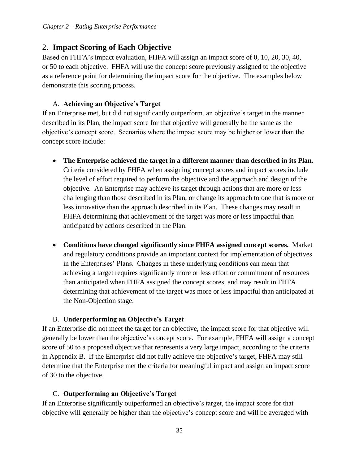## 2. **Impact Scoring of Each Objective**

Based on FHFA's impact evaluation, FHFA will assign an impact score of 0, 10, 20, 30, 40, or 50 to each objective. FHFA will use the concept score previously assigned to the objective as a reference point for determining the impact score for the objective. The examples below demonstrate this scoring process.

#### A. **Achieving an Objective's Target**

If an Enterprise met, but did not significantly outperform, an objective's target in the manner described in its Plan, the impact score for that objective will generally be the same as the objective's concept score. Scenarios where the impact score may be higher or lower than the concept score include:

- **The Enterprise achieved the target in a different manner than described in its Plan.**  Criteria considered by FHFA when assigning concept scores and impact scores include the level of effort required to perform the objective and the approach and design of the objective. An Enterprise may achieve its target through actions that are more or less challenging than those described in its Plan, or change its approach to one that is more or less innovative than the approach described in its Plan. These changes may result in FHFA determining that achievement of the target was more or less impactful than anticipated by actions described in the Plan.
- **Conditions have changed significantly since FHFA assigned concept scores.** Market and regulatory conditions provide an important context for implementation of objectives in the Enterprises' Plans. Changes in these underlying conditions can mean that achieving a target requires significantly more or less effort or commitment of resources than anticipated when FHFA assigned the concept scores, and may result in FHFA determining that achievement of the target was more or less impactful than anticipated at the Non-Objection stage.

#### B. **Underperforming an Objective's Target**

If an Enterprise did not meet the target for an objective, the impact score for that objective will generally be lower than the objective's concept score. For example, FHFA will assign a concept score of 50 to a proposed objective that represents a very large impact, according to the criteria in Appendix B. If the Enterprise did not fully achieve the objective's target, FHFA may still determine that the Enterprise met the criteria for meaningful impact and assign an impact score of 30 to the objective.

#### C. **Outperforming an Objective's Target**

If an Enterprise significantly outperformed an objective's target, the impact score for that objective will generally be higher than the objective's concept score and will be averaged with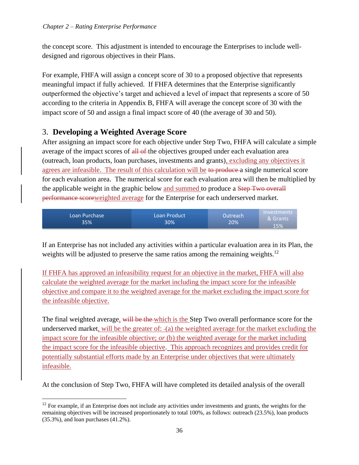the concept score. This adjustment is intended to encourage the Enterprises to include welldesigned and rigorous objectives in their Plans.

For example, FHFA will assign a concept score of 30 to a proposed objective that represents meaningful impact if fully achieved. If FHFA determines that the Enterprise significantly outperformed the objective's target and achieved a level of impact that represents a score of 50 according to the criteria in Appendix B, FHFA will average the concept score of 30 with the impact score of 50 and assign a final impact score of 40 (the average of 30 and 50).

## 3. **Developing a Weighted Average Score**

After assigning an impact score for each objective under Step Two, FHFA will calculate a simple average of the impact scores of all of the objectives grouped under each evaluation area (outreach, loan products, loan purchases, investments and grants), excluding any objectives it agrees are infeasible. The result of this calculation will be to produce a single numerical score for each evaluation area. The numerical score for each evaluation area will then be multiplied by the applicable weight in the graphic below and summed to produce a Step Two overall performance scoreweighted average for the Enterprise for each underserved market.

| Loan Purchase<br>35% | Loan Product<br>30% | Outreach<br>20% | Investments<br>& Grants<br>15% |
|----------------------|---------------------|-----------------|--------------------------------|
|----------------------|---------------------|-----------------|--------------------------------|

If an Enterprise has not included any activities within a particular evaluation area in its Plan, the weights will be adjusted to preserve the same ratios among the remaining weights.<sup>12</sup>

If FHFA has approved an infeasibility request for an objective in the market, FHFA will also calculate the weighted average for the market including the impact score for the infeasible objective and compare it to the weighted average for the market excluding the impact score for the infeasible objective.

The final weighted average, will be the which is the Step Two overall performance score for the underserved market, will be the greater of: (a) the weighted average for the market excluding the impact score for the infeasible objective; *or* (b) the weighted average for the market including the impact score for the infeasible objective. This approach recognizes and provides credit for potentially substantial efforts made by an Enterprise under objectives that were ultimately infeasible.

At the conclusion of Step Two, FHFA will have completed its detailed analysis of the overall

 $12$  For example, if an Enterprise does not include any activities under investments and grants, the weights for the remaining objectives will be increased proportionately to total 100%, as follows: outreach (23.5%), loan products (35.3%), and loan purchases (41.2%).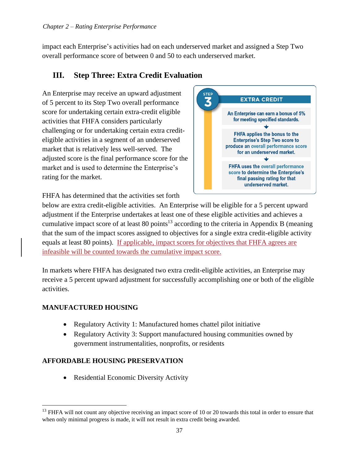impact each Enterprise's activities had on each underserved market and assigned a Step Two overall performance score of between 0 and 50 to each underserved market.

## <span id="page-39-0"></span>**III. Step Three: Extra Credit Evaluation**

An Enterprise may receive an upward adjustment of 5 percent to its Step Two overall performance score for undertaking certain extra-credit eligible activities that FHFA considers particularly challenging or for undertaking certain extra crediteligible activities in a segment of an underserved market that is relatively less well-served. The adjusted score is the final performance score for the market and is used to determine the Enterprise's rating for the market.



FHFA has determined that the activities set forth

below are extra credit-eligible activities. An Enterprise will be eligible for a 5 percent upward adjustment if the Enterprise undertakes at least one of these eligible activities and achieves a cumulative impact score of at least 80 points<sup>13</sup> according to the criteria in Appendix B (meaning that the sum of the impact scores assigned to objectives for a single extra credit-eligible activity equals at least 80 points). If applicable, impact scores for objectives that FHFA agrees are infeasible will be counted towards the cumulative impact score.

In markets where FHFA has designated two extra credit-eligible activities, an Enterprise may receive a 5 percent upward adjustment for successfully accomplishing one or both of the eligible activities.

#### **MANUFACTURED HOUSING**

- Regulatory Activity 1: Manufactured homes chattel pilot initiative
- Regulatory Activity 3: Support manufactured housing communities owned by government instrumentalities, nonprofits, or residents

#### **AFFORDABLE HOUSING PRESERVATION**

• Residential Economic Diversity Activity

<sup>&</sup>lt;sup>13</sup> FHFA will not count any objective receiving an impact score of 10 or 20 towards this total in order to ensure that when only minimal progress is made, it will not result in extra credit being awarded.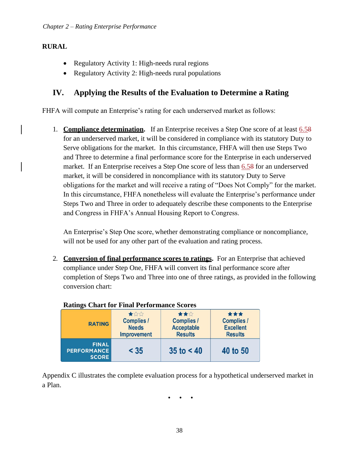#### **RURAL**

- Regulatory Activity 1: High-needs rural regions
- Regulatory Activity 2: High-needs rural populations

## <span id="page-40-0"></span>**IV. Applying the Results of the Evaluation to Determine a Rating**

FHFA will compute an Enterprise's rating for each underserved market as follows:

1. **Compliance determination.** If an Enterprise receives a Step One score of at least 6.58 for an underserved market, it will be considered in compliance with its statutory Duty to Serve obligations for the market. In this circumstance, FHFA will then use Steps Two and Three to determine a final performance score for the Enterprise in each underserved market. If an Enterprise receives a Step One score of less than 6.58 for an underserved market, it will be considered in noncompliance with its statutory Duty to Serve obligations for the market and will receive a rating of "Does Not Comply" for the market. In this circumstance, FHFA nonetheless will evaluate the Enterprise's performance under Steps Two and Three in order to adequately describe these components to the Enterprise and Congress in FHFA's Annual Housing Report to Congress.

An Enterprise's Step One score, whether demonstrating compliance or noncompliance, will not be used for any other part of the evaluation and rating process.

2. **Conversion of final performance scores to ratings.** For an Enterprise that achieved compliance under Step One, FHFA will convert its final performance score after completion of Steps Two and Three into one of three ratings, as provided in the following conversion chart:

| <b>Ratings Chart for Final Performance Scores</b>                               |        |                                                                 |                                                                |  |  |
|---------------------------------------------------------------------------------|--------|-----------------------------------------------------------------|----------------------------------------------------------------|--|--|
| ★☆☆<br><b>Complies /</b><br><b>RATING</b><br><b>Needs</b><br><b>Improvement</b> |        | ★★☆<br><b>Complies /</b><br><b>Acceptable</b><br><b>Results</b> | ***<br><b>Complies /</b><br><b>Excellent</b><br><b>Results</b> |  |  |
| <b>FINAL</b><br><b>PERFORMANCE</b><br><b>SCORE</b>                              | $<$ 35 | $35$ to $< 40$                                                  | 40 to 50                                                       |  |  |

Appendix C illustrates the complete evaluation process for a hypothetical underserved market in a Plan.

• • •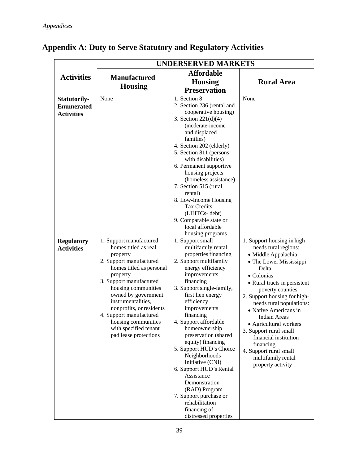|                                                                                                         | <b>UNDERSERVED MARKETS</b>                                                                                                                                                                                                                                                                                                                                            |                                                                                                                                                                                                                                                                                                                                                                                                                                                                                                                                                                                                                                                                                                                                                                                                                                                                                                                                                                                  |                                                                                                                                                                                                                                                                                                                                                                                                                                                                    |  |  |
|---------------------------------------------------------------------------------------------------------|-----------------------------------------------------------------------------------------------------------------------------------------------------------------------------------------------------------------------------------------------------------------------------------------------------------------------------------------------------------------------|----------------------------------------------------------------------------------------------------------------------------------------------------------------------------------------------------------------------------------------------------------------------------------------------------------------------------------------------------------------------------------------------------------------------------------------------------------------------------------------------------------------------------------------------------------------------------------------------------------------------------------------------------------------------------------------------------------------------------------------------------------------------------------------------------------------------------------------------------------------------------------------------------------------------------------------------------------------------------------|--------------------------------------------------------------------------------------------------------------------------------------------------------------------------------------------------------------------------------------------------------------------------------------------------------------------------------------------------------------------------------------------------------------------------------------------------------------------|--|--|
| <b>Activities</b>                                                                                       | <b>Manufactured</b><br><b>Housing</b>                                                                                                                                                                                                                                                                                                                                 | <b>Affordable</b><br><b>Housing</b><br><b>Preservation</b>                                                                                                                                                                                                                                                                                                                                                                                                                                                                                                                                                                                                                                                                                                                                                                                                                                                                                                                       | <b>Rural Area</b>                                                                                                                                                                                                                                                                                                                                                                                                                                                  |  |  |
| <b>Statutorily-</b><br><b>Enumerated</b><br><b>Activities</b><br><b>Regulatory</b><br><b>Activities</b> | None<br>1. Support manufactured<br>homes titled as real<br>property<br>2. Support manufactured<br>homes titled as personal<br>property<br>3. Support manufactured<br>housing communities<br>owned by government<br>instrumentalities,<br>nonprofits, or residents<br>4. Support manufactured<br>housing communities<br>with specified tenant<br>pad lease protections | 1. Section 8<br>2. Section 236 (rental and<br>cooperative housing)<br>3. Section $221(d)(4)$<br>(moderate-income<br>and displaced<br>families)<br>4. Section 202 (elderly)<br>5. Section 811 (persons<br>with disabilities)<br>6. Permanent supportive<br>housing projects<br>(homeless assistance)<br>7. Section 515 (rural<br>rental)<br>8. Low-Income Housing<br><b>Tax Credits</b><br>(LIHTCs-debt)<br>9. Comparable state or<br>local affordable<br>housing programs<br>1. Support small<br>multifamily rental<br>properties financing<br>2. Support multifamily<br>energy efficiency<br>improvements<br>financing<br>3. Support single-family,<br>first lien energy<br>efficiency<br>improvements<br>financing<br>4. Support affordable<br>homeownership<br>preservation (shared<br>equity) financing<br>5. Support HUD's Choice<br>Neighborhoods<br>Initiative (CNI)<br>6. Support HUD's Rental<br>Assistance<br>Demonstration<br>(RAD) Program<br>7. Support purchase or | None<br>1. Support housing in high<br>needs rural regions:<br>· Middle Appalachia<br>• The Lower Mississippi<br>Delta<br>• Colonias<br>• Rural tracts in persistent<br>poverty counties<br>2. Support housing for high-<br>needs rural populations:<br>• Native Americans in<br><b>Indian Areas</b><br>• Agricultural workers<br>3. Support rural small<br>financial institution<br>financing<br>4. Support rural small<br>multifamily rental<br>property activity |  |  |
|                                                                                                         |                                                                                                                                                                                                                                                                                                                                                                       | rehabilitation<br>financing of<br>distressed properties                                                                                                                                                                                                                                                                                                                                                                                                                                                                                                                                                                                                                                                                                                                                                                                                                                                                                                                          |                                                                                                                                                                                                                                                                                                                                                                                                                                                                    |  |  |

## <span id="page-41-0"></span>**Appendix A: Duty to Serve Statutory and Regulatory Activities**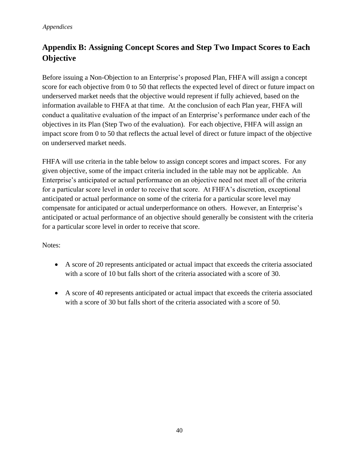## <span id="page-42-0"></span>**Appendix B: Assigning Concept Scores and Step Two Impact Scores to Each Objective**

Before issuing a Non-Objection to an Enterprise's proposed Plan, FHFA will assign a concept score for each objective from 0 to 50 that reflects the expected level of direct or future impact on underserved market needs that the objective would represent if fully achieved, based on the information available to FHFA at that time. At the conclusion of each Plan year, FHFA will conduct a qualitative evaluation of the impact of an Enterprise's performance under each of the objectives in its Plan (Step Two of the evaluation). For each objective, FHFA will assign an impact score from 0 to 50 that reflects the actual level of direct or future impact of the objective on underserved market needs.

FHFA will use criteria in the table below to assign concept scores and impact scores. For any given objective, some of the impact criteria included in the table may not be applicable. An Enterprise's anticipated or actual performance on an objective need not meet all of the criteria for a particular score level in order to receive that score. At FHFA's discretion, exceptional anticipated or actual performance on some of the criteria for a particular score level may compensate for anticipated or actual underperformance on others. However, an Enterprise's anticipated or actual performance of an objective should generally be consistent with the criteria for a particular score level in order to receive that score.

#### Notes:

- A score of 20 represents anticipated or actual impact that exceeds the criteria associated with a score of 10 but falls short of the criteria associated with a score of 30.
- A score of 40 represents anticipated or actual impact that exceeds the criteria associated with a score of 30 but falls short of the criteria associated with a score of 50.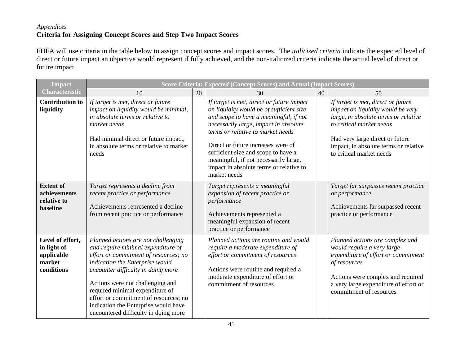#### *Appendices* **Criteria for Assigning Concept Scores and Step Two Impact Scores**

FHFA will use criteria in the table below to assign concept scores and impact scores. The *italicized criteria* indicate the expected level of direct or future impact an objective would represent if fully achieved, and the non-italicized criteria indicate the actual level of direct or future impact.

| <b>Impact</b>                                                         | Score Criteria: Expected (Concept Scores) and Actual (Impact Scores)                                                                                                                                                                                                                                                                                                                        |    |                                                                                                                                                                                                                                                                                                                                                                                                |    |                                                                                                                                                                                                                                                     |  |
|-----------------------------------------------------------------------|---------------------------------------------------------------------------------------------------------------------------------------------------------------------------------------------------------------------------------------------------------------------------------------------------------------------------------------------------------------------------------------------|----|------------------------------------------------------------------------------------------------------------------------------------------------------------------------------------------------------------------------------------------------------------------------------------------------------------------------------------------------------------------------------------------------|----|-----------------------------------------------------------------------------------------------------------------------------------------------------------------------------------------------------------------------------------------------------|--|
| <b>Characteristic</b>                                                 | 10                                                                                                                                                                                                                                                                                                                                                                                          | 20 | 30                                                                                                                                                                                                                                                                                                                                                                                             | 40 | 50                                                                                                                                                                                                                                                  |  |
| <b>Contribution to</b><br>liquidity                                   | If target is met, direct or future<br>impact on liquidity would be minimal,<br>in absolute terms or relative to<br>market needs<br>Had minimal direct or future impact,<br>in absolute terms or relative to market<br>needs                                                                                                                                                                 |    | If target is met, direct or future impact<br>on liquidity would be of sufficient size<br>and scope to have a meaningful, if not<br>necessarily large, impact in absolute<br>terms or relative to market needs<br>Direct or future increases were of<br>sufficient size and scope to have a<br>meaningful, if not necessarily large,<br>impact in absolute terms or relative to<br>market needs |    | If target is met, direct or future<br>impact on liquidity would be very<br>large, in absolute terms or relative<br>to critical market needs<br>Had very large direct or future<br>impact, in absolute terms or relative<br>to critical market needs |  |
| <b>Extent of</b><br>achievements<br>relative to<br>baseline           | Target represents a decline from<br>recent practice or performance<br>Achievements represented a decline<br>from recent practice or performance                                                                                                                                                                                                                                             |    | Target represents a meaningful<br>expansion of recent practice or<br>performance<br>Achievements represented a<br>meaningful expansion of recent<br>practice or performance                                                                                                                                                                                                                    |    | Target far surpasses recent practice<br>or performance<br>Achievements far surpassed recent<br>practice or performance                                                                                                                              |  |
| Level of effort,<br>in light of<br>applicable<br>market<br>conditions | Planned actions are not challenging<br>and require minimal expenditure of<br>effort or commitment of resources; no<br>indication the Enterprise would<br>encounter difficulty in doing more<br>Actions were not challenging and<br>required minimal expenditure of<br>effort or commitment of resources; no<br>indication the Enterprise would have<br>encountered difficulty in doing more |    | Planned actions are routine and would<br>require a moderate expenditure of<br>effort or commitment of resources<br>Actions were routine and required a<br>moderate expenditure of effort or<br>commitment of resources                                                                                                                                                                         |    | Planned actions are complex and<br>would require a very large<br>expenditure of effort or commitment<br>of resources<br>Actions were complex and required<br>a very large expenditure of effort or<br>commitment of resources                       |  |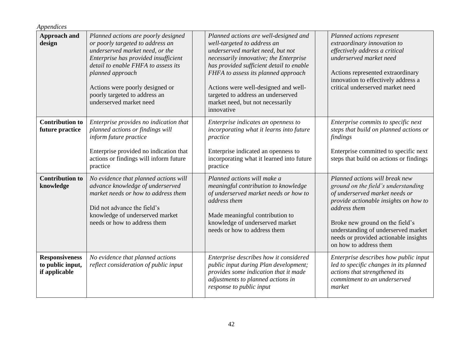| Appendices                                                 |                                                                                                                                                                                                                                                                                                              |                                                                                                                                                                                                                                                                                                                                                                       |                                                                                                                                                                                                                                                                                                               |
|------------------------------------------------------------|--------------------------------------------------------------------------------------------------------------------------------------------------------------------------------------------------------------------------------------------------------------------------------------------------------------|-----------------------------------------------------------------------------------------------------------------------------------------------------------------------------------------------------------------------------------------------------------------------------------------------------------------------------------------------------------------------|---------------------------------------------------------------------------------------------------------------------------------------------------------------------------------------------------------------------------------------------------------------------------------------------------------------|
| <b>Approach and</b><br>design                              | Planned actions are poorly designed<br>or poorly targeted to address an<br>underserved market need, or the<br>Enterprise has provided insufficient<br>detail to enable FHFA to assess its<br>planned approach<br>Actions were poorly designed or<br>poorly targeted to address an<br>underserved market need | Planned actions are well-designed and<br>well-targeted to address an<br>underserved market need, but not<br>necessarily innovative; the Enterprise<br>has provided sufficient detail to enable<br>FHFA to assess its planned approach<br>Actions were well-designed and well-<br>targeted to address an underserved<br>market need, but not necessarily<br>innovative | Planned actions represent<br>extraordinary innovation to<br>effectively address a critical<br>underserved market need<br>Actions represented extraordinary<br>innovation to effectively address a<br>critical underserved market need                                                                         |
| <b>Contribution to</b><br>future practice                  | Enterprise provides no indication that<br>planned actions or findings will<br>inform future practice<br>Enterprise provided no indication that<br>actions or findings will inform future<br>practice                                                                                                         | Enterprise indicates an openness to<br>incorporating what it learns into future<br>practice<br>Enterprise indicated an openness to<br>incorporating what it learned into future<br>practice                                                                                                                                                                           | Enterprise commits to specific next<br>steps that build on planned actions or<br>findings<br>Enterprise committed to specific next<br>steps that build on actions or findings                                                                                                                                 |
| <b>Contribution to</b><br>knowledge                        | No evidence that planned actions will<br>advance knowledge of underserved<br>market needs or how to address them<br>Did not advance the field's<br>knowledge of underserved market<br>needs or how to address them                                                                                           | Planned actions will make a<br>meaningful contribution to knowledge<br>of underserved market needs or how to<br>address them<br>Made meaningful contribution to<br>knowledge of underserved market<br>needs or how to address them                                                                                                                                    | Planned actions will break new<br>ground on the field's understanding<br>of underserved market needs or<br>provide actionable insights on how to<br>address them<br>Broke new ground on the field's<br>understanding of underserved market<br>needs or provided actionable insights<br>on how to address them |
| <b>Responsiveness</b><br>to public input,<br>if applicable | No evidence that planned actions<br>reflect consideration of public input                                                                                                                                                                                                                                    | Enterprise describes how it considered<br>public input during Plan development;<br>provides some indication that it made<br>adjustments to planned actions in<br>response to public input                                                                                                                                                                             | Enterprise describes how public input<br>led to specific changes in its planned<br>actions that strengthened its<br>commitment to an underserved<br>market                                                                                                                                                    |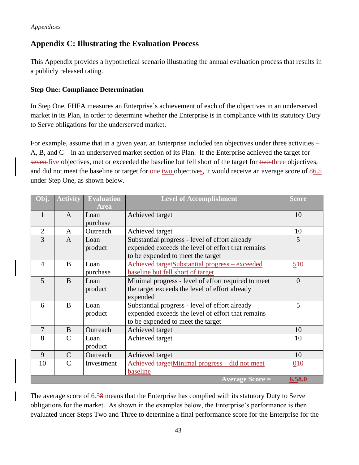## <span id="page-45-0"></span>**Appendix C: Illustrating the Evaluation Process**

This Appendix provides a hypothetical scenario illustrating the annual evaluation process that results in a publicly released rating.

#### **Step One: Compliance Determination**

In Step One, FHFA measures an Enterprise's achievement of each of the objectives in an underserved market in its Plan, in order to determine whether the Enterprise is in compliance with its statutory Duty to Serve obligations for the underserved market.

For example, assume that in a given year, an Enterprise included ten objectives under three activities – A, B, and C – in an underserved market section of its Plan. If the Enterprise achieved the target for seven five objectives, met or exceeded the baseline but fell short of the target for two three objectives, and did not meet the baseline or target for one two objectives, it would receive an average score of  $86.5$ under Step One, as shown below.

| Obj.           | <b>Activity</b> | <b>Evaluation</b><br><b>Area</b> | <b>Level of Accomplishment</b>                      | <b>Score</b>    |
|----------------|-----------------|----------------------------------|-----------------------------------------------------|-----------------|
| 1              | $\mathbf{A}$    | Loan                             | Achieved target                                     | 10              |
|                |                 | purchase                         |                                                     |                 |
| $\overline{2}$ | A               | Outreach                         | Achieved target                                     | 10              |
| 3              | $\mathbf{A}$    | Loan                             | Substantial progress - level of effort already      | 5               |
|                |                 | product                          | expended exceeds the level of effort that remains   |                 |
|                |                 |                                  | to be expended to meet the target                   |                 |
| $\overline{4}$ | B               | Loan                             | Achieved targetSubstantial progress - exceeded      | 540             |
|                |                 | purchase                         | baseline but fell short of target                   |                 |
| 5              | B               | Loan                             | Minimal progress - level of effort required to meet | $\theta$        |
|                |                 | product                          | the target exceeds the level of effort already      |                 |
|                |                 |                                  | expended                                            |                 |
| 6              | B               | Loan                             | Substantial progress - level of effort already      | 5               |
|                |                 | product                          | expended exceeds the level of effort that remains   |                 |
|                |                 |                                  | to be expended to meet the target                   |                 |
| 7              | B               | Outreach                         | Achieved target                                     | 10              |
| 8              | $\mathcal{C}$   | Loan                             | Achieved target                                     | 10              |
|                |                 | product                          |                                                     |                 |
| 9              | $\mathcal{C}$   | Outreach                         | Achieved target                                     | 10              |
| 10             | $\mathcal{C}$   | Investment                       | Achieved targetMinimal progress - did not meet      | 0 <sub>40</sub> |
|                |                 |                                  | baseline                                            |                 |
|                |                 |                                  | <b>Average Score =</b>                              | 6.58.0          |

The average score of 6.58 means that the Enterprise has complied with its statutory Duty to Serve obligations for the market. As shown in the examples below, the Enterprise's performance is then evaluated under Steps Two and Three to determine a final performance score for the Enterprise for the